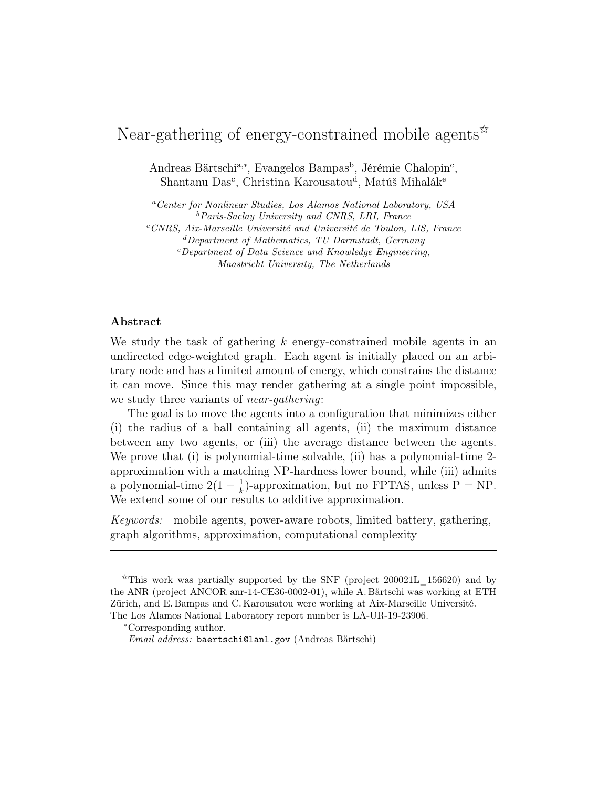# Near-gathering of energy-constrained mobile agents  $\mathbb{R}^2$

Andreas Bärtschi<sup>a,∗</sup>, Evangelos Bampas<sup>b</sup>, Jérémie Chalopin<sup>c</sup>, Shantanu Das<sup>c</sup>, Christina Karousatou<sup>d</sup>, Matúš Mihalák<sup>e</sup>

<sup>a</sup>Center for Nonlinear Studies, Los Alamos National Laboratory, USA  $b$ Paris-Saclay University and CNRS, LRI, France  $c$ CNRS, Aix-Marseille Université and Université de Toulon, LIS, France  ${}^{d}$ Department of Mathematics, TU Darmstadt, Germany <sup>e</sup>Department of Data Science and Knowledge Engineering, Maastricht University, The Netherlands

# Abstract

We study the task of gathering  $k$  energy-constrained mobile agents in an undirected edge-weighted graph. Each agent is initially placed on an arbitrary node and has a limited amount of energy, which constrains the distance it can move. Since this may render gathering at a single point impossible, we study three variants of near-gathering:

The goal is to move the agents into a configuration that minimizes either (i) the radius of a ball containing all agents, (ii) the maximum distance between any two agents, or (iii) the average distance between the agents. We prove that (i) is polynomial-time solvable, (ii) has a polynomial-time 2approximation with a matching NP-hardness lower bound, while (iii) admits a polynomial-time  $2(1-\frac{1}{k})$  $\frac{1}{k}$ )-approximation, but no FPTAS, unless P = NP. We extend some of our results to additive approximation.

Keywords: mobile agents, power-aware robots, limited battery, gathering, graph algorithms, approximation, computational complexity

 $\overline{\hat{X}}$ This work was partially supported by the SNF (project 200021L 156620) and by the ANR (project ANCOR anr-14-CE36-0002-01), while A. Bärtschi was working at ETH Zürich, and E. Bampas and C. Karousatou were working at Aix-Marseille Université. The Los Alamos National Laboratory report number is LA-UR-19-23906.

<sup>∗</sup>Corresponding author.

Email address: baertschi@lanl.gov (Andreas Bärtschi)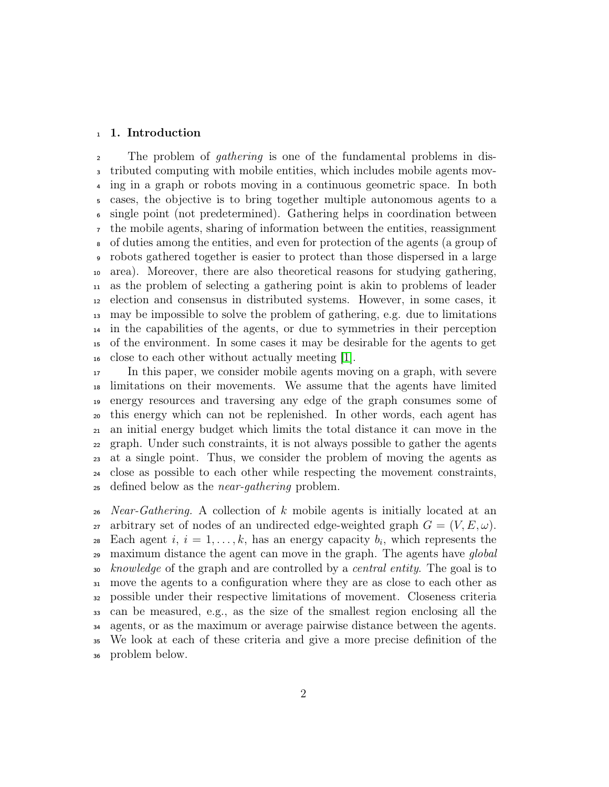#### 1. Introduction

 The problem of gathering is one of the fundamental problems in dis- tributed computing with mobile entities, which includes mobile agents mov- ing in a graph or robots moving in a continuous geometric space. In both cases, the objective is to bring together multiple autonomous agents to a single point (not predetermined). Gathering helps in coordination between the mobile agents, sharing of information between the entities, reassignment of duties among the entities, and even for protection of the agents (a group of robots gathered together is easier to protect than those dispersed in a large area). Moreover, there are also theoretical reasons for studying gathering, as the problem of selecting a gathering point is akin to problems of leader election and consensus in distributed systems. However, in some cases, it may be impossible to solve the problem of gathering, e.g. due to limitations in the capabilities of the agents, or due to symmetries in their perception of the environment. In some cases it may be desirable for the agents to get close to each other without actually meeting [\[1\]](#page-22-0).

 In this paper, we consider mobile agents moving on a graph, with severe limitations on their movements. We assume that the agents have limited energy resources and traversing any edge of the graph consumes some of this energy which can not be replenished. In other words, each agent has an initial energy budget which limits the total distance it can move in the graph. Under such constraints, it is not always possible to gather the agents at a single point. Thus, we consider the problem of moving the agents as close as possible to each other while respecting the movement constraints, defined below as the near-gathering problem.

 *Near-Gathering.* A collection of k mobile agents is initially located at an 27 arbitrary set of nodes of an undirected edge-weighted graph  $G = (V, E, \omega)$ . 28 Each agent  $i, i = 1, \ldots, k$ , has an energy capacity  $b_i$ , which represents the <sup>29</sup> maximum distance the agent can move in the graph. The agents have *global* 30 knowledge of the graph and are controlled by a central entity. The goal is to move the agents to a configuration where they are as close to each other as possible under their respective limitations of movement. Closeness criteria can be measured, e.g., as the size of the smallest region enclosing all the agents, or as the maximum or average pairwise distance between the agents. We look at each of these criteria and give a more precise definition of the problem below.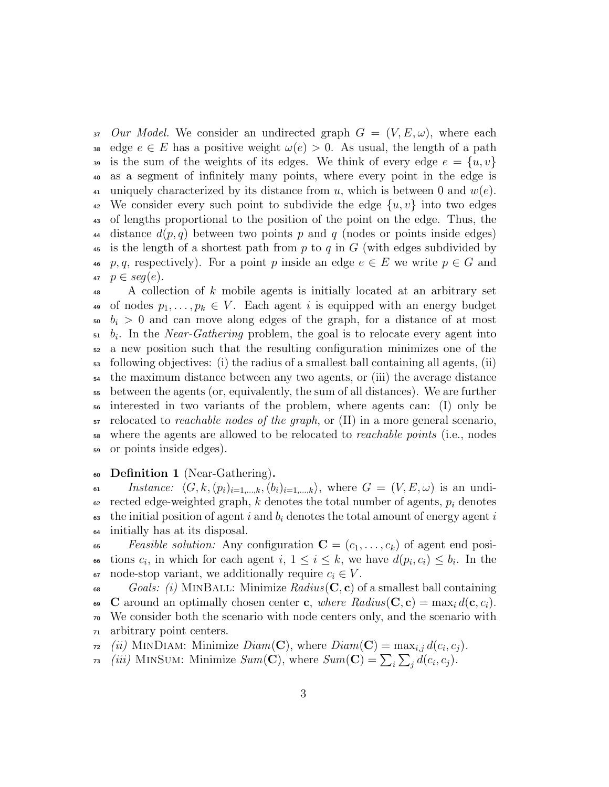37 Our Model. We consider an undirected graph  $G = (V, E, \omega)$ , where each 38 edge  $e \in E$  has a positive weight  $\omega(e) > 0$ . As usual, the length of a path 39 is the sum of the weights of its edges. We think of every edge  $e = \{u, v\}$ <sup>40</sup> as a segment of infinitely many points, where every point in the edge is 41 uniquely characterized by its distance from u, which is between 0 and  $w(e)$ . <sup>42</sup> We consider every such point to subdivide the edge  $\{u, v\}$  into two edges <sup>43</sup> of lengths proportional to the position of the point on the edge. Thus, the 44 distance  $d(p, q)$  between two points p and q (nodes or points inside edges) 45 is the length of a shortest path from p to q in  $G$  (with edges subdivided by 46 p, q, respectively). For a point p inside an edge  $e \in E$  we write  $p \in G$  and 47  $p \in seq(e)$ .

 A collection of k mobile agents is initially located at an arbitrary set 49 of nodes  $p_1, \ldots, p_k \in V$ . Each agent i is equipped with an energy budget  $50 \, b_i > 0$  and can move along edges of the graph, for a distance of at most  $b_i$ . In the *Near-Gathering* problem, the goal is to relocate every agent into a new position such that the resulting configuration minimizes one of the  $\mathfrak{so}$  following objectives: (i) the radius of a smallest ball containing all agents, (ii) the maximum distance between any two agents, or (iii) the average distance between the agents (or, equivalently, the sum of all distances). We are further interested in two variants of the problem, where agents can: (I) only be  $\sigma$  relocated to *reachable nodes of the graph*, or (II) in a more general scenario, where the agents are allowed to be relocated to reachable points (i.e., nodes or points inside edges).

### <sup>60</sup> Definition 1 (Near-Gathering).

61 Instance:  $\langle G, k,(p_i)_{i=1,\dots,k},(b_i)_{i=1,\dots,k}\rangle$ , where  $G = (V, E, \omega)$  is an undi- $\epsilon$ <sup>2</sup> rected edge-weighted graph, k denotes the total number of agents,  $p_i$  denotes 63 the initial position of agent i and  $b_i$  denotes the total amount of energy agent i <sup>64</sup> initially has at its disposal.

<sup>65</sup> Feasible solution: Any configuration  $\mathbf{C} = (c_1, \ldots, c_k)$  of agent end posi-66 tions  $c_i$ , in which for each agent  $i, 1 \leq i \leq k$ , we have  $d(p_i, c_i) \leq b_i$ . In the 67 node-stop variant, we additionally require  $c_i \in V$ .

68 Goals: (i) MINBALL: Minimize  $Radius(C, c)$  of a smallest ball containing 69 C around an optimally chosen center c, where  $Radius(C, c) = max_i d(c, c_i)$ . <sup>70</sup> We consider both the scenario with node centers only, and the scenario with <sup>71</sup> arbitrary point centers.

 $\tau_1$  (ii) MINDIAM: Minimize  $Diam(\mathbf{C})$ , where  $Diam(\mathbf{C}) = max_{i,j} d(c_i, c_j)$ .

<sup>73</sup> (iii) MINSUM: Minimize  $Sum(\mathbf{C})$ , where  $Sum(\mathbf{C}) = \sum_i \sum_j d(c_i, c_j)$ .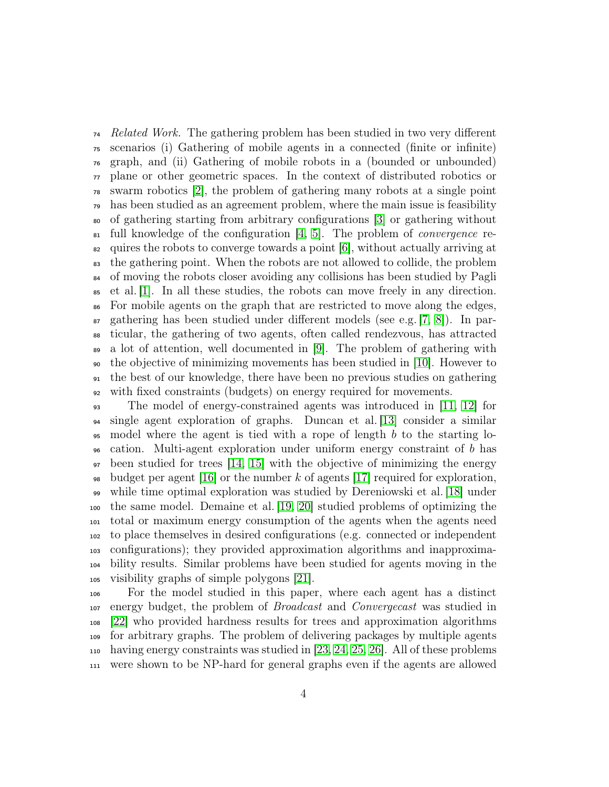<sup>74</sup> Related Work. The gathering problem has been studied in two very different scenarios (i) Gathering of mobile agents in a connected (finite or infinite) graph, and (ii) Gathering of mobile robots in a (bounded or unbounded) plane or other geometric spaces. In the context of distributed robotics or swarm robotics [\[2\]](#page-22-1), the problem of gathering many robots at a single point has been studied as an agreement problem, where the main issue is feasibility of gathering starting from arbitrary configurations [\[3\]](#page-22-2) or gathering without  $\mathfrak{su}$  full knowledge of the configuration [\[4,](#page-22-3) [5\]](#page-22-4). The problem of *convergence* re- $\epsilon_2$  quires the robots to converge towards a point [\[6\]](#page-22-5), without actually arriving at the gathering point. When the robots are not allowed to collide, the problem <sup>84</sup> of moving the robots closer avoiding any collisions has been studied by Pagli et al. [\[1\]](#page-22-0). In all these studies, the robots can move freely in any direction. For mobile agents on the graph that are restricted to move along the edges,  $\epsilon$  gathering has been studied under different models (see e.g. [\[7,](#page-22-6) [8\]](#page-22-7)). In par- ticular, the gathering of two agents, often called rendezvous, has attracted a lot of attention, well documented in [\[9\]](#page-22-8). The problem of gathering with the objective of minimizing movements has been studied in [\[10\]](#page-22-9). However to the best of our knowledge, there have been no previous studies on gathering with fixed constraints (budgets) on energy required for movements.

 The model of energy-constrained agents was introduced in [\[11,](#page-22-10) [12\]](#page-23-0) for single agent exploration of graphs. Duncan et al. [\[13\]](#page-23-1) consider a similar  $\epsilon$  95 model where the agent is tied with a rope of length b to the starting lo- cation. Multi-agent exploration under uniform energy constraint of b has been studied for trees [\[14,](#page-23-2) [15\]](#page-23-3) with the objective of minimizing the energy <sup>98</sup> budget per agent [\[16\]](#page-23-4) or the number k of agents [\[17\]](#page-23-5) required for exploration, while time optimal exploration was studied by Dereniowski et al. [\[18\]](#page-23-6) under the same model. Demaine et al. [\[19,](#page-23-7) [20\]](#page-23-8) studied problems of optimizing the total or maximum energy consumption of the agents when the agents need to place themselves in desired configurations (e.g. connected or independent configurations); they provided approximation algorithms and inapproxima- bility results. Similar problems have been studied for agents moving in the visibility graphs of simple polygons [\[21\]](#page-24-0).

 For the model studied in this paper, where each agent has a distinct <sup>107</sup> energy budget, the problem of *Broadcast* and *Convergecast* was studied in [\[22\]](#page-24-1) who provided hardness results for trees and approximation algorithms for arbitrary graphs. The problem of delivering packages by multiple agents having energy constraints was studied in [\[23,](#page-24-2) [24,](#page-24-3) [25,](#page-24-4) [26\]](#page-24-5). All of these problems were shown to be NP-hard for general graphs even if the agents are allowed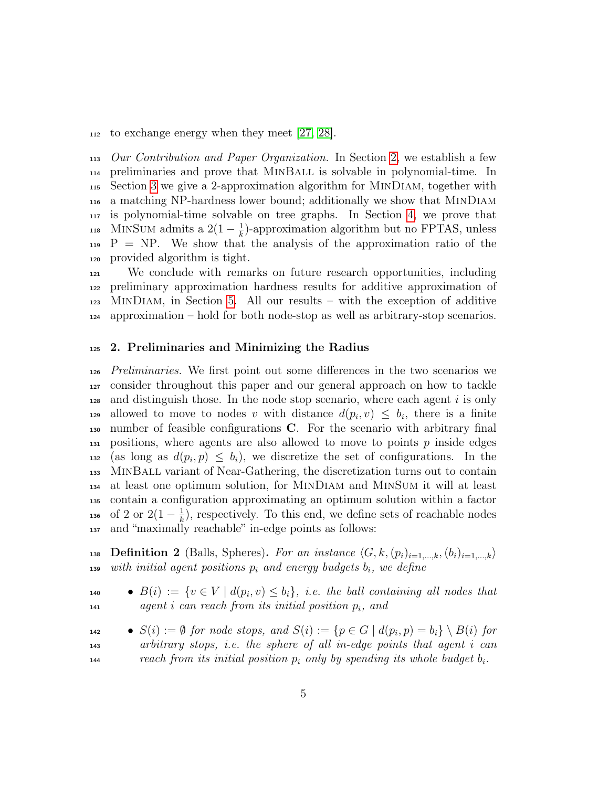to exchange energy when they meet [\[27,](#page-24-6) [28\]](#page-24-7).

 Our Contribution and Paper Organization. In Section [2,](#page-4-0) we establish a few preliminaries and prove that MinBall is solvable in polynomial-time. In Section [3](#page-8-0) we give a 2-approximation algorithm for MinDiam, together with a matching NP-hardness lower bound; additionally we show that MinDiam is polynomial-time solvable on tree graphs. In Section [4,](#page-15-0) we prove that MINSUM admits a  $2(1-\frac{1}{k})$ 118 MINSUM admits a  $2(1-\frac{1}{k})$ -approximation algorithm but no FPTAS, unless  $P = NP$ . We show that the analysis of the approximation ratio of the provided algorithm is tight.

 We conclude with remarks on future research opportunities, including preliminary approximation hardness results for additive approximation of MINDIAM, in Section [5.](#page-19-0) All our results – with the exception of additive approximation – hold for both node-stop as well as arbitrary-stop scenarios.

#### <span id="page-4-0"></span>2. Preliminaries and Minimizing the Radius

 Preliminaries. We first point out some differences in the two scenarios we consider throughout this paper and our general approach on how to tackle and distinguish those. In the node stop scenario, where each agent i is only allowed to move to nodes v with distance  $d(p_i, v) \leq b_i$ , there is a finite number of feasible configurations C. For the scenario with arbitrary final 131 positions, where agents are also allowed to move to points  $p$  inside edges 132 (as long as  $d(p_i, p) \leq b_i$ ), we discretize the set of configurations. In the MinBall variant of Near-Gathering, the discretization turns out to contain at least one optimum solution, for MinDiam and MinSum it will at least contain a configuration approximating an optimum solution within a factor of 2 or  $2(1 - \frac{1}{k})$ <sup>136</sup> of 2 or  $2(1-\frac{1}{k})$ , respectively. To this end, we define sets of reachable nodes and "maximally reachable" in-edge points as follows:

138 **Definition 2** (Balls, Spheres). For an instance  $\langle G, k,(p_i)_{i=1,\ldots,k},(b_i)_{i=1,\ldots,k}\rangle$  $_{139}$  with initial agent positions  $p_i$  and energy budgets  $b_i$ , we define

**•**  $B(i) := \{v \in V \mid d(p_i, v) \leq b_i\},\ i.e.$  the ball containing all nodes that  $141 \qquad \text{agent } i \text{ can reach from its initial position } p_i, \text{ and}$ 

**•**  $S(i) := ∅$  for node stops, and  $S(i) := \{ p \in G \mid d(p_i, p) = b_i \} \setminus B(i)$  for arbitrary stops, i.e. the sphere of all in-edge points that agent i can  $r_1 = r_2 + r_3 = r_4 + r_5$  reach from its initial position  $p_i$  only by spending its whole budget  $b_i$ .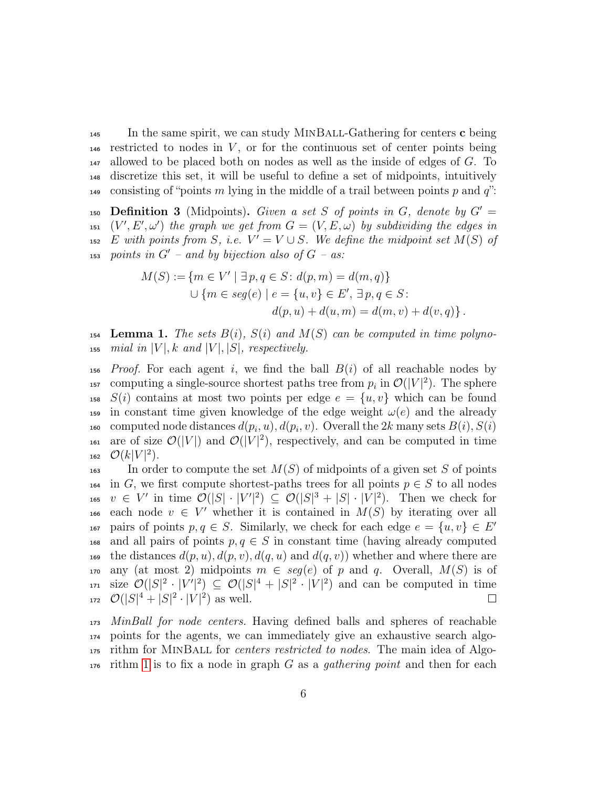$\frac{1}{45}$  In the same spirit, we can study MINBALL-Gathering for centers c being 146 restricted to nodes in  $V$ , or for the continuous set of center points being  $_{147}$  allowed to be placed both on nodes as well as the inside of edges of G. To <sup>148</sup> discretize this set, it will be useful to define a set of midpoints, intuitively 149 consisting of "points m lying in the middle of a trail between points p and  $q$ ":

150 Definition 3 (Midpoints). Given a set S of points in G, denote by  $G' =$ 151  $(V', E', \omega')$  the graph we get from  $G = (V, E, \omega)$  by subdividing the edges in 152 E with points from S, i.e.  $V' = V \cup S$ . We define the midpoint set  $M(S)$  of  $153$  points in  $G'$  – and by bijection also of  $G$  – as:

$$
M(S) := \{ m \in V' \mid \exists p, q \in S : d(p, m) = d(m, q) \}
$$
  

$$
\cup \{ m \in seg(e) \mid e = \{ u, v \} \in E', \exists p, q \in S :
$$
  

$$
d(p, u) + d(u, m) = d(m, v) + d(v, q) \}.
$$

<span id="page-5-0"></span>154 Lemma 1. The sets  $B(i)$ ,  $S(i)$  and  $M(S)$  can be computed in time polyno-155 mial in  $|V|$ , k and  $|V|$ ,  $|S|$ , respectively.

 $156$  Proof. For each agent i, we find the ball  $B(i)$  of all reachable nodes by <sup>157</sup> computing a single-source shortest paths tree from  $p_i$  in  $\mathcal{O}(|V|^2)$ . The sphere <sup>158</sup>  $S(i)$  contains at most two points per edge  $e = \{u, v\}$  which can be found 159 in constant time given knowledge of the edge weight  $\omega(e)$  and the already <sup>160</sup> computed node distances  $d(p_i, u), d(p_i, v)$ . Overall the 2k many sets  $B(i)$ ,  $S(i)$ <sup>161</sup> are of size  $\mathcal{O}(|V|)$  and  $\mathcal{O}(|V|^2)$ , respectively, and can be computed in time 162  $\mathcal{O}(k|V|^2)$ .

 $\mathcal{I}_{\text{163}}$  In order to compute the set  $M(S)$  of midpoints of a given set S of points <sup>164</sup> in G, we first compute shortest-paths trees for all points  $p \in S$  to all nodes 165  $v \in V'$  in time  $\mathcal{O}(|S| \cdot |V'|^2) \subseteq \mathcal{O}(|S|^3 + |S| \cdot |V|^2)$ . Then we check for 166 each node  $v \in V'$  whether it is contained in  $M(S)$  by iterating over all pairs of points  $p, q \in S$ . Similarly, we check for each edge  $e = \{u, v\} \in E'$ 167 168 and all pairs of points  $p, q \in S$  in constant time (having already computed 169 the distances  $d(p, u), d(p, v), d(q, u)$  and  $d(q, v)$ ) whether and where there are 170 any (at most 2) midpoints  $m \in seg(e)$  of p and q. Overall,  $M(S)$  is of <sup>171</sup> size  $\mathcal{O}(|S|^2 \cdot |V'|^2) \subseteq \mathcal{O}(|S|^4 + |S|^2 \cdot |V|^2)$  and can be computed in time 172  $\mathcal{O}(|S|^4 + |S|^2 \cdot |V|^2)$  as well.  $\Box$ 

<sub>173</sub> MinBall for node centers. Having defined balls and spheres of reachable points for the agents, we can immediately give an exhaustive search algo- rithm for MinBall for centers restricted to nodes. The main idea of Algo-rithm [1](#page-6-0) is to fix a node in graph G as a *qathering point* and then for each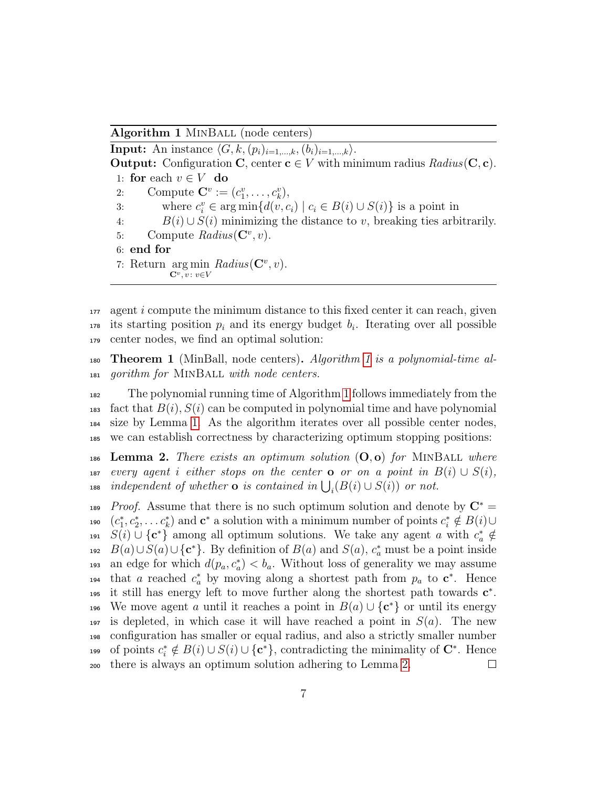Algorithm 1 MINBALL (node centers)

<span id="page-6-0"></span>**Input:** An instance  $\langle G, k,(p_i)_{i=1,\ldots,k},(b_i)_{i=1,\ldots,k}\rangle$ . **Output:** Configuration **C**, center  $c \in V$  with minimum radius  $Radius(C, c)$ . 1: for each  $v \in V$  do 2: Compute  $\mathbf{C}^v := (c_1^v, \dots, c_k^v),$ 3: where  $c_i^v \in \arg\min\{d(v, c_i) \mid c_i \in B(i) \cup S(i)\}\)$  is a point in 4:  $B(i) \cup S(i)$  minimizing the distance to v, breaking ties arbitrarily. 5: Compute  $Radius(\mathbf{C}^v, v)$ . 6: end for 7: Return arg min  $Radius(\mathbf{C}^v, v)$ .  $\mathbf{C}^v, v : v \in V$ 

 $177$  agent i compute the minimum distance to this fixed center it can reach, given  $_{178}$  its starting position  $p_i$  and its energy budget  $b_i$ . Iterating over all possible <sup>179</sup> center nodes, we find an optimal solution:

<span id="page-6-2"></span>180 **Theorem [1](#page-6-0)** (MinBall, node centers). Algorithm 1 is a polynomial-time al-<sup>181</sup> gorithm for MinBall with node centers.

 The polynomial running time of Algorithm [1](#page-6-0) follows immediately from the <sup>183</sup> fact that  $B(i)$ ,  $S(i)$  can be computed in polynomial time and have polynomial size by Lemma [1.](#page-5-0) As the algorithm iterates over all possible center nodes, we can establish correctness by characterizing optimum stopping positions:

<span id="page-6-1"></span>186 Lemma 2. There exists an optimum solution  $(O, o)$  for MINBALL where 187 every agent i either stops on the center **o** or on a point in  $B(i) \cup S(i)$ , <sup>188</sup> independent of whether **o** is contained in  $\bigcup_i (B(i) \cup S(i))$  or not.

<sup>189</sup> Proof. Assume that there is no such optimum solution and denote by  $\mathbb{C}^*$ <sup>190</sup>  $(c_1^*, c_2^*, \ldots c_k^*)$  and  $\mathbf{c}^*$  a solution with a minimum number of points  $c_i^* \notin B(i) \cup$ <sup>191</sup>  $S(i) \cup \{c^*\}$  among all optimum solutions. We take any agent a with  $c^*_{a} \notin$ 192  $B(a) \cup S(a) \cup \{c^*\}$ . By definition of  $B(a)$  and  $S(a)$ ,  $c_a^*$  must be a point inside 193 an edge for which  $d(p_a, c_a^*) < b_a$ . Without loss of generality we may assume <sup>194</sup> that a reached  $c_a^*$  by moving along a shortest path from  $p_a$  to  $\mathbf{c}^*$ . Hence 195 it still has energy left to move further along the shortest path towards  $c^*$ . 196 We move agent a until it reaches a point in  $B(a) \cup \{c^*\}$  or until its energy 197 is depleted, in which case it will have reached a point in  $S(a)$ . The new <sup>198</sup> configuration has smaller or equal radius, and also a strictly smaller number 199 of points  $c_i^* \notin B(i) \cup S(i) \cup \{c^*\}$ , contradicting the minimality of  $\mathbb{C}^*$ . Hence <sup>200</sup> there is always an optimum solution adhering to Lemma [2.](#page-6-1)  $\Box$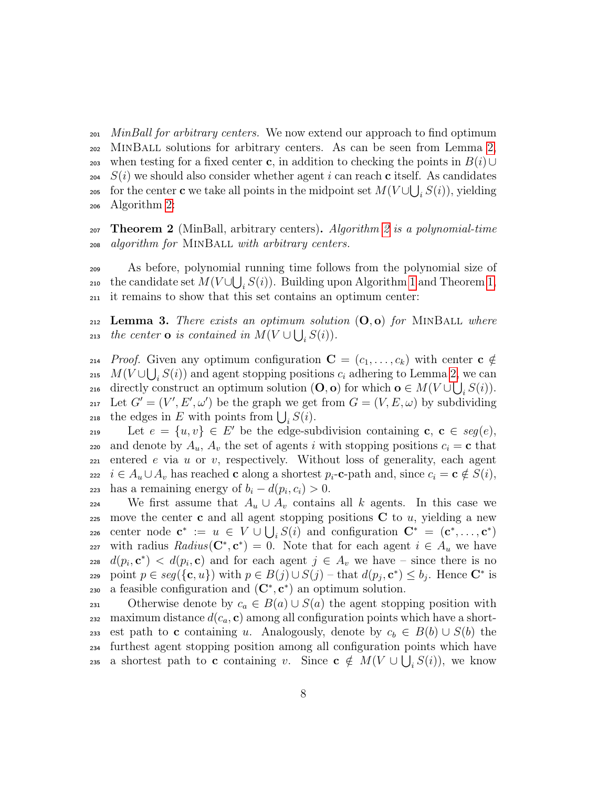$_{201}$  MinBall for arbitrary centers. We now extend our approach to find optimum <sup>202</sup> MinBall solutions for arbitrary centers. As can be seen from Lemma [2,](#page-6-1) 203 when testing for a fixed center c, in addition to checking the points in  $B(i) \cup$  $204$   $S(i)$  we should also consider whether agent i can reach c itself. As candidates <sup>205</sup> for the center **c** we take all points in the midpoint set  $M(V \cup \bigcup_i S(i))$ , yielding <sup>206</sup> Algorithm [2:](#page-8-1)

<span id="page-7-0"></span>207 Theorem [2](#page-8-1) (MinBall, arbitrary centers). Algorithm 2 is a polynomial-time <sup>208</sup> algorithm for MinBall with arbitrary centers.

<sup>209</sup> As before, polynomial running time follows from the polynomial size of <sub>210</sub> the candidate set  $M(V \cup \bigcup_i S(i))$ . Building upon Algorithm [1](#page-6-0) and Theorem [1,](#page-6-2) <sup>211</sup> it remains to show that this set contains an optimum center:

<span id="page-7-1"></span> $_{212}$  Lemma 3. There exists an optimum solution  $(O, o)$  for MINBALL where 213 the center **o** is contained in  $M(V \cup \bigcup_i S(i))$ .

214 Proof. Given any optimum configuration  $\mathbf{C} = (c_1, \ldots, c_k)$  with center  $\mathbf{c} \notin$ <sup>215</sup>  $M(V \cup \bigcup_i S(i))$  and agent stopping positions  $c_i$  adhering to Lemma [2,](#page-6-1) we can 216 directly construct an optimum solution  $(O, o)$  for which  $o \in M(V \cup \bigcup_i S(i))$ . 217 Let  $G' = (V', E', \omega')$  be the graph we get from  $G = (V, E, \omega)$  by subdividing <sup>218</sup> the edges in E with points from  $\bigcup_i S(i)$ .

219 Let  $e = \{u, v\} \in E'$  be the edge-subdivision containing  $c, c \in seg(e)$ , 220 and denote by  $A_u$ ,  $A_v$  the set of agents i with stopping positions  $c_i = \mathbf{c}$  that  $221$  entered e via u or v, respectively. Without loss of generality, each agent 222 i ∈  $A_u \cup A_v$  has reached **c** along a shortest  $p_i$ -**c**-path and, since  $c_i = \mathbf{c} \notin S(i)$ , 223 has a remaining energy of  $b_i - d(p_i, c_i) > 0$ .

224 We first assume that  $A_u \cup A_v$  contains all k agents. In this case we 225 move the center c and all agent stopping positions  $C$  to  $u$ , yielding a new 226 center node  $\mathbf{c}^* := u \in V \cup \bigcup_i S(i)$  and configuration  $\mathbf{C}^* = (\mathbf{c}^*, \dots, \mathbf{c}^*)$ 227 with radius  $Radius(\mathbf{C}^*, \mathbf{c}^*) = 0$ . Note that for each agent  $i \in A_u$  we have 228  $d(p_i, \mathbf{c}^*)$  <  $d(p_i, \mathbf{c})$  and for each agent  $j \in A_v$  we have – since there is no 229 point  $p \in \text{seg}(\{\mathbf{c}, u\})$  with  $p \in B(j) \cup S(j)$  – that  $d(p_j, \mathbf{c}^*) \leq b_j$ . Hence  $\mathbf{C}^*$  is 230 a feasible configuration and  $(\mathbf{C}^*, \mathbf{c}^*)$  an optimum solution.

231 Otherwise denote by  $c_a \in B(a) \cup S(a)$  the agent stopping position with 232 maximum distance  $d(c_a, c)$  among all configuration points which have a short-233 est path to c containing u. Analogously, denote by  $c_b \in B(b) \cup S(b)$  the <sup>234</sup> furthest agent stopping position among all configuration points which have 235 a shortest path to **c** containing v. Since  $c \notin M(V \cup \bigcup_i S(i))$ , we know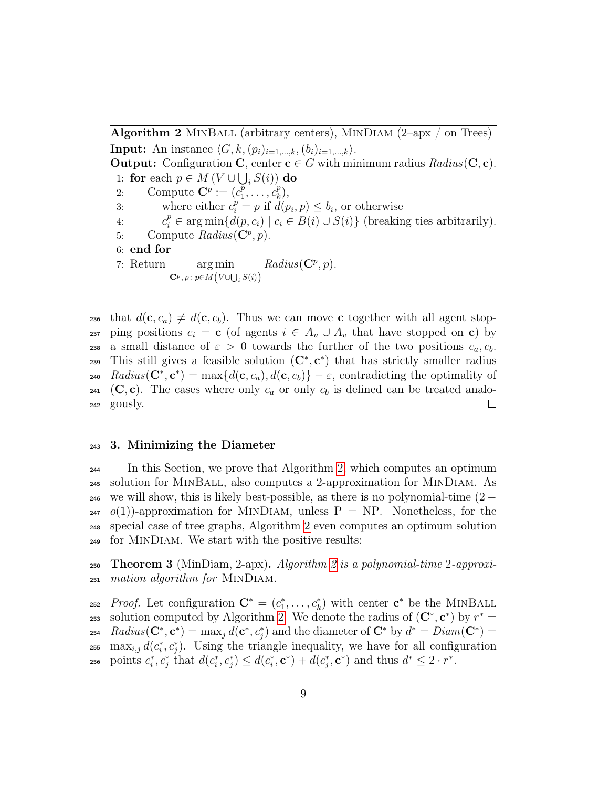Algorithm 2 MINBALL (arbitrary centers), MINDIAM  $(2$ -apx / on Trees)

<span id="page-8-1"></span>**Input:** An instance  $\langle G, k,(p_i)_{i=1,\ldots,k},(b_i)_{i=1,\ldots,k}\rangle$ . **Output:** Configuration **C**, center  $c \in G$  with minimum radius  $Radius(C, c)$ . 1: for each  $p \in M(V \cup \bigcup_i S(i))$  do 2: Compute  $\mathbf{C}^p := (c_1^p)$  $\overline{\vphantom{a}^p_1},\ldots,\vphantom{a}^p_k$  $_{k}^{p}),$ 3: where either  $c_i^p = p$  if  $d(p_i, p) \leq b_i$ , or otherwise 4:  $c_i^p \in \arg \min \{d(p, c_i) \mid c_i \in B(i) \cup S(i)\}\$  (breaking ties arbitrarily). 5: Compute  $Radius(\mathbf{C}^p, p)$ . 6: end for 7: Return arg min  $\mathbf{C}^p, p \colon p{\in}M\left(V{\cup}\bigcup_i S(i)\right)$  $Radius(\mathbf{C}^p, p).$ 

236 that  $d(c, c_a) \neq d(c, c_b)$ . Thus we can move c together with all agent stop-237 ping positions  $c_i = \mathbf{c}$  (of agents  $i \in A_u \cup A_v$  that have stopped on  $\mathbf{c}$ ) by 238 a small distance of  $\varepsilon > 0$  towards the further of the two positions  $c_a, c_b$ . 239 This still gives a feasible solution  $(C^*, c^*)$  that has strictly smaller radius 240  $Radius(\mathbf{C}^*, \mathbf{c}^*) = max\{d(\mathbf{c}, c_a), d(\mathbf{c}, c_b)\} - \varepsilon$ , contradicting the optimality of 241 (C, c). The cases where only  $c_a$  or only  $c_b$  is defined can be treated analo- $\Box$ <sup>242</sup> gously.

## <span id="page-8-0"></span><sup>243</sup> 3. Minimizing the Diameter

<sup>244</sup> In this Section, we prove that Algorithm [2,](#page-8-1) which computes an optimum <sup>245</sup> solution for MinBall, also computes a 2-approximation for MinDiam. As  $_{246}$  we will show, this is likely best-possible, as there is no polynomial-time  $(2 _{247}$   $o(1)$ -approximation for MINDIAM, unless P = NP. Nonetheless, for the <sup>248</sup> special case of tree graphs, Algorithm [2](#page-8-1) even computes an optimum solution <sup>249</sup> for MinDiam. We start with the positive results:

**250 Theorem 3** (MinDiam, [2](#page-8-1)-apx). Algorithm 2 is a polynomial-time 2-approxi-<sup>251</sup> mation algorithm for MinDiam.

<sup>252</sup> Proof. Let configuration  $\mathbf{C}^* = (c_1^*, \ldots, c_k^*)$  with center  $\mathbf{c}^*$  be the MINBALL <sup>253</sup> solution computed by Algorithm [2.](#page-8-1) We denote the radius of  $(C^*, c^*)$  by  $r^* =$ <sup>254</sup> Radius( $C^*, c^*$ ) = max<sub>j</sub> d( $c^*, c^*_j$ ) and the diameter of  $C^*$  by  $d^* = Diam(C^*)$  = <sup>255</sup> max<sub>i,j</sub>  $d(c_i^*, c_j^*)$ . Using the triangle inequality, we have for all configuration <sub>256</sub> points  $c_i^*, c_j^*$  that  $d(c_i^*, c_j^*) \leq d(c_i^*, \mathbf{c}^*) + d(c_j^*, \mathbf{c}^*)$  and thus  $d^* \leq 2 \cdot r^*$ .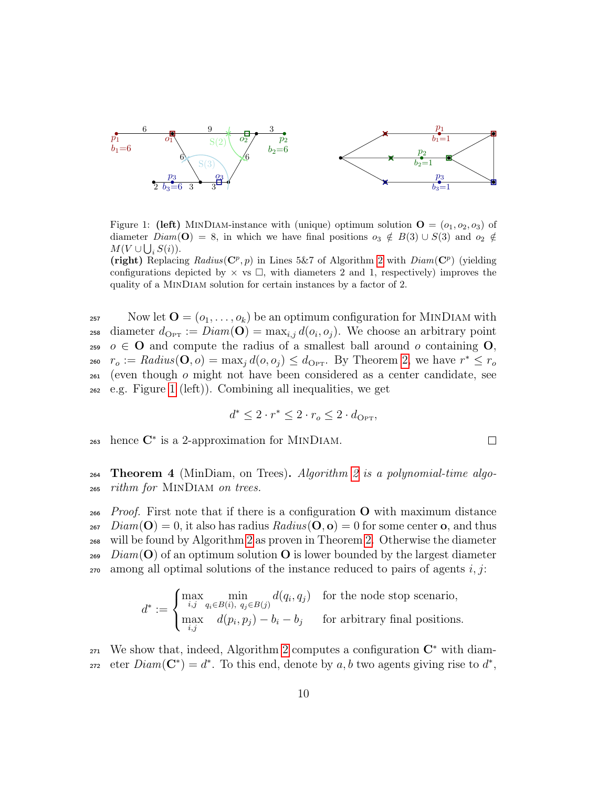

<span id="page-9-0"></span>Figure 1: (left) MINDIAM-instance with (unique) optimum solution  $\mathbf{O} = (o_1, o_2, o_3)$  of diameter  $Diam(\mathbf{O}) = 8$ , in which we have final positions  $o_3 \notin B(3) \cup S(3)$  and  $o_2 \notin$  $M(V \cup \bigcup_i S(i)).$ 

(right) Replacing  $Radius(\mathbf{C}^p, p)$  in Lines 5&7 of Algorithm [2](#page-8-1) with  $Diam(\mathbf{C}^p)$  (yielding configurations depicted by  $\times$  vs  $\square$ , with diameters 2 and 1, respectively) improves the quality of a MinDiam solution for certain instances by a factor of 2.

257 Now let  $\mathbf{O} = (o_1, \ldots, o_k)$  be an optimum configuration for MINDIAM with <sup>258</sup> diameter  $d_{\text{Opt}} := Diam(\mathbf{O}) = \max_{i,j} d(o_i, o_j)$ . We choose an arbitrary point 259  $o \in \mathbf{O}$  and compute the radius of a smallest ball around o containing  $\mathbf{O}$ , <sup>260</sup>  $r_o := Radius(\mathbf{O}, o) = \max_j d(o, o_j) \leq d_{\text{OPT}}$ . By Theorem [2,](#page-7-0) we have  $r^* \leq r_o$  $_{261}$  (even though  $\sigma$  might not have been considered as a center candidate, see <sup>262</sup> e.g. Figure [1](#page-9-0) (left)). Combining all inequalities, we get

$$
d^* \leq 2 \cdot r^* \leq 2 \cdot r_o \leq 2 \cdot d_{\text{Opt}},
$$

 $_{263}$  hence  $\mathbb{C}^*$  is a 2-approximation for MINDIAM.

264 Theorem 4 (MinDiam, on Trees). Algorithm [2](#page-8-1) is a polynomial-time algo-<sup>265</sup> rithm for MinDiam on trees.

<sub>266</sub> Proof. First note that if there is a configuration  $\bf{O}$  with maximum distance  $Diam(\mathbf{O}) = 0$ , it also has radius  $Radius(\mathbf{O}, \mathbf{o}) = 0$  for some center **o**, and thus will be found by Algorithm [2](#page-8-1) as proven in Theorem [2.](#page-7-0) Otherwise the diameter Diam(O) of an optimum solution O is lower bounded by the largest diameter among all optimal solutions of the instance reduced to pairs of agents i, j:

$$
d^* := \begin{cases} \max_{i,j} \min_{q_i \in B(i), \ q_j \in B(j)} d(q_i, q_j) & \text{for the node stop scenario,} \\ \max_{i,j} \quad d(p_i, p_j) - b_i - b_j & \text{for arbitrary final positions.} \end{cases}
$$

 $_{271}$  We show that, indeed, Algorithm [2](#page-8-1) computes a configuration  $\mathbb{C}^*$  with diameter  $Diam(\mathbf{C}^*) = d^*$ . To this end, denote by a, b two agents giving rise to  $d^*$ ,

 $\Box$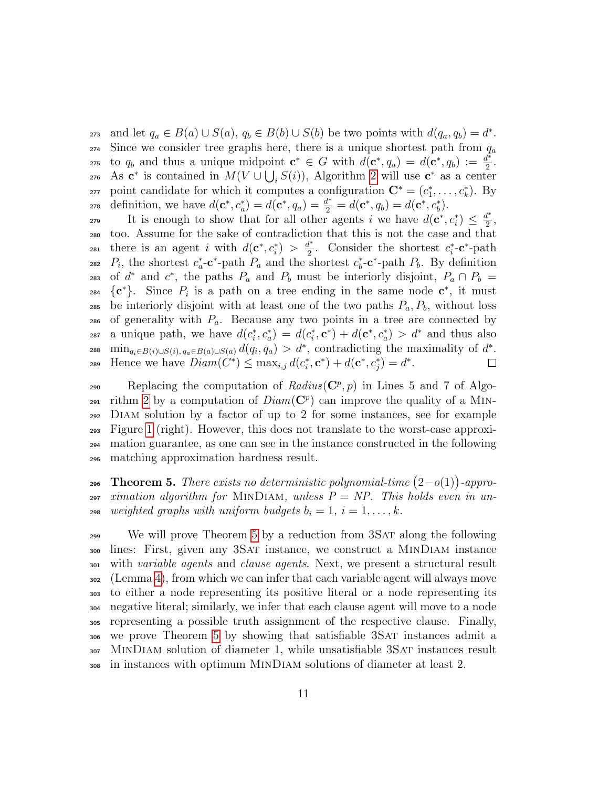273 and let  $q_a \in B(a) \cup S(a)$ ,  $q_b \in B(b) \cup S(b)$  be two points with  $d(q_a, q_b) = d^*$ .  $274$  Since we consider tree graphs here, there is a unique shortest path from  $q_a$ to  $q_b$  and thus a unique midpoint  $c^* \in G$  with  $d(c^*, q_a) = d(c^*, q_b) := \frac{d^*}{2}$ 275 to  $q_b$  and thus a unique midpoint  $\mathbf{c}^* \in G$  with  $d(\mathbf{c}^*, q_a) = d(\mathbf{c}^*, q_b) := \frac{d^*}{2}$ . <sup>276</sup> As  $\mathbf{c}^*$  is contained in  $M(V \cup \bigcup_i S(i))$ , Algorithm [2](#page-8-1) will use  $\mathbf{c}^*$  as a center <sub>277</sub> point candidate for which it computes a configuration  $\mathbf{C}^* = (c_1^*, \ldots, c_k^*)$ . By 278 definition, we have  $d(\mathbf{c}^*, c_a^*) = d(\mathbf{c}^*, q_a) = \frac{d^*}{2} = d(\mathbf{c}^*, q_b) = d(\mathbf{c}^*, c_b^*)$ .

It is enough to show that for all other agents i we have  $d(\mathbf{c}^*, c_i^*) \leq \frac{d^*}{2}$ 279 It is enough to show that for all other agents i we have  $d(\mathbf{c}^*, c_i^*) \leq \frac{d^*}{2}$ , <sup>280</sup> too. Assume for the sake of contradiction that this is not the case and that there is an agent *i* with  $d(\mathbf{c}^*, c_i^*) > \frac{d^*}{2}$ 281 there is an agent i with  $d(c^*, c_i^*) > \frac{d^*}{2}$ . Consider the shortest  $c_i^*$ -c<sup>\*</sup>-path <sup>282</sup>  $P_i$ , the shortest  $c_a^*$ -**c**<sup>\*</sup>-path  $P_a$  and the shortest  $c_b^*$ -**c**<sup>\*</sup>-path  $P_b$ . By definition 283 of  $d^*$  and  $c^*$ , the paths  $P_a$  and  $P_b$  must be interiorly disjoint,  $P_a \cap P_b =$ <sub>284</sub>  $\{c^*\}$ . Since  $P_i$  is a path on a tree ending in the same node  $c^*$ , it must 285 be interiorly disjoint with at least one of the two paths  $P_a, P_b$ , without loss 286 of generality with  $P_a$ . Because any two points in a tree are connected by <sup>287</sup> a unique path, we have  $d(c_i^*, c_a^*) = d(c_i^*, c^*) + d(c^*, c_a^*) > d^*$  and thus also 288 min<sub>qi∈B(i)∪S(i), qa∈B(a)∪S(a)</sub>  $d(q_i, q_a) > d^*$ , contradicting the maximality of  $d^*$ . 289 Hence we have  $Diam(C^*) \leq \max_{i,j} d(c_i^*, c^*) + d(c^*, c_j^*) = d^*.$  $\Box$ 

 $Replacing the computation of *Radius*( $\mathbb{C}^p$ , p) in Lines 5 and 7 of Algo-$ 291 rithm [2](#page-8-1) by a computation of  $Diam(\mathbf{C}^p)$  can improve the quality of a MIN- Diam solution by a factor of up to 2 for some instances, see for example Figure [1](#page-9-0) (right). However, this does not translate to the worst-case approxi- mation guarantee, as one can see in the instance constructed in the following matching approximation hardness result.

<span id="page-10-0"></span>296 Theorem 5. There exists no deterministic polynomial-time  $(2-o(1))$ -appro- $297$  ximation algorithm for MINDIAM, unless  $P = NP$ . This holds even in un-298 weighted graphs with uniform budgets  $b_i = 1, i = 1, \ldots, k$ .

<sup>299</sup> We will prove Theorem [5](#page-10-0) by a reduction from 3SAT along the following lines: First, given any 3Sat instance, we construct a MinDiam instance with variable agents and clause agents. Next, we present a structural result (Lemma [4\)](#page-12-0), from which we can infer that each variable agent will always move to either a node representing its positive literal or a node representing its negative literal; similarly, we infer that each clause agent will move to a node representing a possible truth assignment of the respective clause. Finally, we prove Theorem [5](#page-10-0) by showing that satisfiable 3Sat instances admit a MinDiam solution of diameter 1, while unsatisfiable 3Sat instances result in instances with optimum MinDiam solutions of diameter at least 2.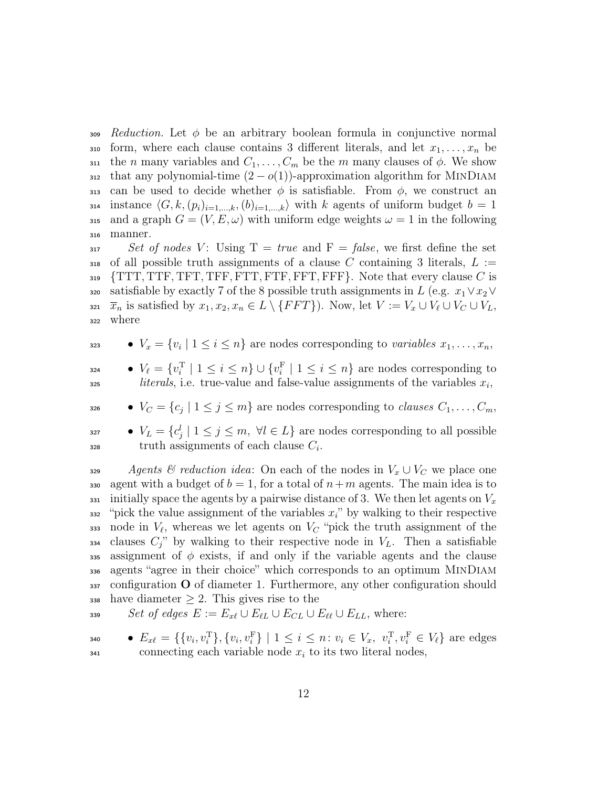309 Reduction. Let  $\phi$  be an arbitrary boolean formula in conjunctive normal 310 form, where each clause contains 3 different literals, and let  $x_1, \ldots, x_n$  be 311 the *n* many variables and  $C_1, \ldots, C_m$  be the *m* many clauses of  $\phi$ . We show 312 that any polynomial-time  $(2 - o(1))$ -approximation algorithm for MINDIAM 313 can be used to decide whether  $\phi$  is satisfiable. From  $\phi$ , we construct an 314 instance  $\langle G, k,(p_i)_{i=1,\dots,k},(b)_{i=1,\dots,k}\rangle$  with k agents of uniform budget  $b = 1$ 315 and a graph  $G = (V, E, \omega)$  with uniform edge weights  $\omega = 1$  in the following <sup>316</sup> manner.

 $317$  Set of nodes V: Using  $T = true$  and  $F = false$ , we first define the set 318 of all possible truth assignments of a clause C containing 3 literals,  $L :=$  $319$   $\{TTT, TTF, TFT, TFF, FTT, FTF, FFT, FFF\}.$  Note that every clause C is 320 satisfiable by exactly 7 of the 8 possible truth assignments in L (e.g.  $x_1 \vee x_2 \vee$ 321  $\bar{x}_n$  is satisfied by  $x_1, x_2, x_n \in L \setminus \{FFT\}$ . Now, let  $V := V_x \cup V_\ell \cup V_C \cup V_L$ , <sup>322</sup> where

 $\bullet \quad V_x = \{v_i \mid 1 \leq i \leq n\}$  are nodes corresponding to variables  $x_1, \ldots, x_n$ ,

 $V_{\ell} = \{v_i^{\mathrm{T}} \mid 1 \leq i \leq n\} \cup \{v_i^{\mathrm{F}} \mid 1 \leq i \leq n\}$  are nodes corresponding to  $\text{325}$  literals, i.e. true-value and false-value assignments of the variables  $x_i$ ,

 $V_C = \{c_j \mid 1 \leq j \leq m\}$  are nodes corresponding to *clauses*  $C_1, \ldots, C_m$ ,

<sup>327</sup> ●  $V_L = \{c_j^l \mid 1 \leq j \leq m, \forall l \in L\}$  are nodes corresponding to all possible  $128$  truth assignments of each clause  $C_i$ .

329 Agents & reduction idea: On each of the nodes in  $V_x \cup V_C$  we place one 330 agent with a budget of  $b = 1$ , for a total of  $n+m$  agents. The main idea is to  $_{331}$  initially space the agents by a pairwise distance of 3. We then let agents on  $V_x$  $332$  "pick the value assignment of the variables  $x_i$ " by walking to their respective 333 node in  $V_{\ell}$ , whereas we let agents on  $V_C$  "pick the truth assignment of the  $1334$  clauses  $C_i$ " by walking to their respective node in  $V_L$ . Then a satisfiable 335 assignment of  $\phi$  exists, if and only if the variable agents and the clause <sup>336</sup> agents "agree in their choice" which corresponds to an optimum MinDiam  $337$  configuration O of diameter 1. Furthermore, any other configuration should 338 have diameter  $\geq 2$ . This gives rise to the

$$
s^{339} \qquad Set \text{ of edges } E := E_{x\ell} \cup E_{\ell L} \cup E_{CL} \cup E_{\ell \ell} \cup E_{LL}, \text{ where:}
$$

• 
$$
E_{x\ell} = \{ \{v_i, v_i^T\}, \{v_i, v_i^F\} \mid 1 \leq i \leq n : v_i \in V_x, v_i^T, v_i^F \in V_\ell \}
$$
 are edges connecting each variable node  $x_i$  to its two literal nodes,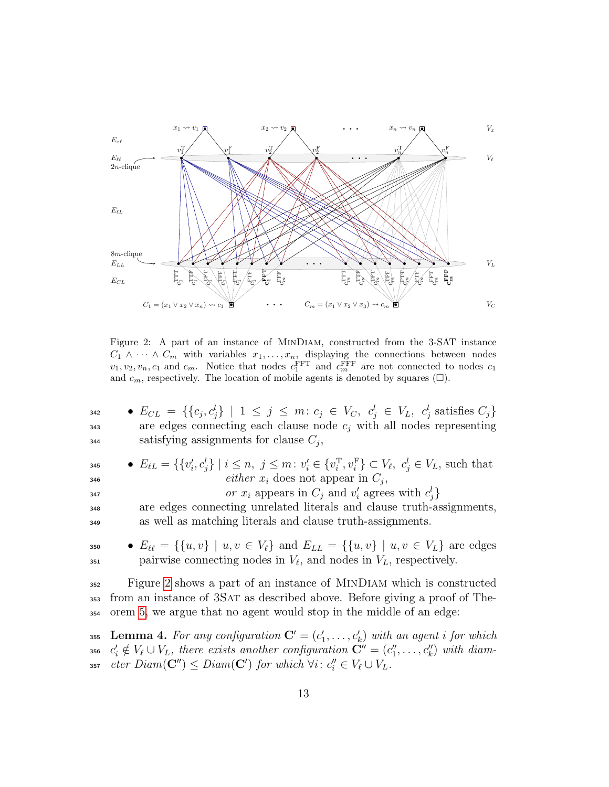

<span id="page-12-1"></span>Figure 2: A part of an instance of MinDiam, constructed from the 3-SAT instance  $C_1 \wedge \cdots \wedge C_m$  with variables  $x_1, \ldots, x_n$ , displaying the connections between nodes  $v_1, v_2, v_n, c_1$  and  $c_m$ . Notice that nodes  $c_1^{\text{FFT}}$  and  $c_m^{\text{FFT}}$  are not connected to nodes  $c_1$ and  $c_m$ , respectively. The location of mobile agents is denoted by squares  $(\square)$ .

| 342 | • $E_{CL} = \{ \{c_j, c_j^l\} \mid 1 \leq j \leq m : c_j \in V_C, c_j^l \in V_L, c_j^l \text{ satisfies } C_j \}$ |  |
|-----|-------------------------------------------------------------------------------------------------------------------|--|
| 343 | are edges connecting each clause node $c_i$ with all nodes representing                                           |  |
| 344 | satisfying assignments for clause $C_i$ ,                                                                         |  |

| 345 | • $E_{\ell L} = \{ \{v_i', c_i'\} \mid i \leq n, j \leq m : v_i' \in \{v_i^T, v_i^F\} \subset V_{\ell}, c_i' \in V_L$ , such that |
|-----|-----------------------------------------------------------------------------------------------------------------------------------|
| 346 | <i>either</i> $x_i$ does not appear in $C_i$ ,                                                                                    |
| 347 | or $x_i$ appears in $C_i$ and $v'_i$ agrees with $c'_i$                                                                           |
| 348 | are edges connecting unrelated literals and clause truth-assignments,                                                             |
| 349 | as well as matching literals and clause truth-assignments.                                                                        |
|     |                                                                                                                                   |

350 •  $E_{\ell\ell} = \{\{u, v\} | u, v \in V_{\ell}\}\$ and  $E_{LL} = \{\{u, v\} | u, v \in V_L\}$  are edges  $_{351}$  pairwise connecting nodes in  $V_{\ell}$ , and nodes in  $V_L$ , respectively.

<sup>352</sup> Figure [2](#page-12-1) shows a part of an instance of MinDiam which is constructed <sup>353</sup> from an instance of 3Sat as described above. Before giving a proof of The-<sup>354</sup> orem [5,](#page-10-0) we argue that no agent would stop in the middle of an edge:

<span id="page-12-0"></span><sup>355</sup> Lemma 4. For any configuration  $\mathbf{C}' = (c'_1, \ldots, c'_k)$  with an agent i for which 356  $c'_i \notin V_\ell \cup V_L$ , there exists another configuration  $\mathbf{C}'' = (c''_1, \ldots, c''_k)$  with diam-357  $\text{eter } Diam(\mathbf{C}^{\prime\prime}) \leq Diam(\mathbf{C}^{\prime}) \text{ for which } \forall i: c_i^{\prime\prime} \in V_\ell \cup V_L.$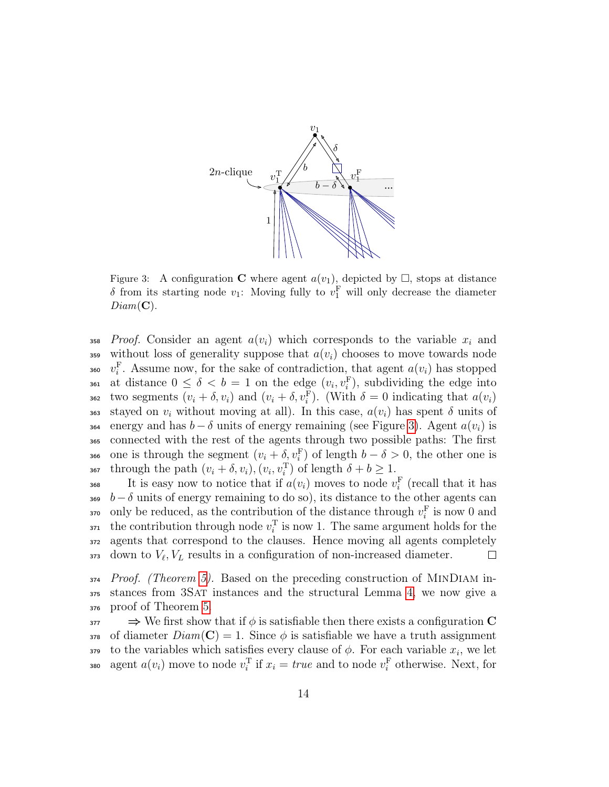<span id="page-13-0"></span>

Figure 3: A configuration **C** where agent  $a(v_1)$ , depicted by  $\Box$ , stops at distance  $\delta$  from its starting node  $v_1$ : Moving fully to  $v_1^{\text{F}}$  will only decrease the diameter  $Diam(\mathbf{C}).$ 

358 Proof. Consider an agent  $a(v_i)$  which corresponds to the variable  $x_i$  and 359 without loss of generality suppose that  $a(v_i)$  chooses to move towards node <sup>360</sup>  $v_i^{\text{F}}$ . Assume now, for the sake of contradiction, that agent  $a(v_i)$  has stopped 361 at distance  $0 \leq \delta < b = 1$  on the edge  $(v_i, v_i^{\text{F}})$ , subdividing the edge into 362 two segments  $(v_i + \delta, v_i)$  and  $(v_i + \delta, v_i^{\text{F}})$ . (With  $\delta = 0$  indicating that  $a(v_i)$ 363 stayed on  $v_i$  without moving at all). In this case,  $a(v_i)$  has spent  $\delta$  units of 364 energy and has  $b - \delta$  units of energy remaining (see Figure [3\)](#page-13-0). Agent  $a(v_i)$  is <sup>365</sup> connected with the rest of the agents through two possible paths: The first 366 one is through the segment  $(v_i + \delta, v_i^{\text{F}})$  of length  $b - \delta > 0$ , the other one is 367 through the path  $(v_i + \delta, v_i), (v_i, v_i^{\mathrm{T}})$  of length  $\delta + b \geq 1$ .

<sup>368</sup> It is easy now to notice that if  $a(v_i)$  moves to node  $v_i^{\text{F}}$  (recall that it has 369 b  $-\delta$  units of energy remaining to do so), its distance to the other agents can <sup>370</sup> only be reduced, as the contribution of the distance through  $v_i^{\text{F}}$  is now 0 and <sup>371</sup> the contribution through node  $v_i^T$  is now 1. The same argument holds for the <sup>372</sup> agents that correspond to the clauses. Hence moving all agents completely  $373$  down to  $V_{\ell}, V_L$  results in a configuration of non-increased diameter.  $\Box$ 

 $374$  Proof. (Theorem [5\)](#page-10-0). Based on the preceding construction of MINDIAM in-<sup>375</sup> stances from 3Sat instances and the structural Lemma [4,](#page-12-0) we now give a <sup>376</sup> proof of Theorem [5.](#page-10-0)

 $\Rightarrow$  We first show that if  $\phi$  is satisfiable then there exists a configuration C 378 of diameter  $Diam(\mathbf{C}) = 1$ . Since  $\phi$  is satisfiable we have a truth assignment 379 to the variables which satisfies every clause of  $\phi$ . For each variable  $x_i$ , we let 380 agent  $a(v_i)$  move to node  $v_i^T$  if  $x_i = true$  and to node  $v_i^F$  otherwise. Next, for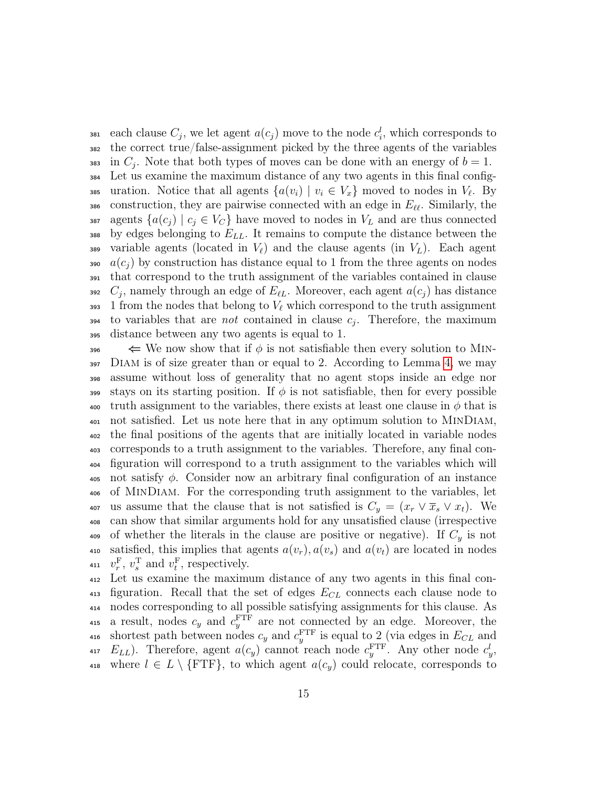<sup>381</sup> each clause  $C_j$ , we let agent  $a(c_j)$  move to the node  $c_i^l$ , which corresponds to <sup>382</sup> the correct true/false-assignment picked by the three agents of the variables 383 in  $C_j$ . Note that both types of moves can be done with an energy of  $b = 1$ . <sup>384</sup> Let us examine the maximum distance of any two agents in this final config-385 uration. Notice that all agents  $\{a(v_i) \mid v_i \in V_x\}$  moved to nodes in  $V_\ell$ . By 386 construction, they are pairwise connected with an edge in  $E_{\ell\ell}$ . Similarly, the 387 agents  $\{a(c_j) \mid c_j \in V_C\}$  have moved to nodes in  $V_L$  and are thus connected 388 by edges belonging to  $E_{LL}$ . It remains to compute the distance between the 389 variable agents (located in  $V_{\ell}$ ) and the clause agents (in  $V_L$ ). Each agent  $a(c_i)$  by construction has distance equal to 1 from the three agents on nodes <sup>391</sup> that correspond to the truth assignment of the variables contained in clause 392  $C_j$ , namely through an edge of  $E_{\ell L}$ . Moreover, each agent  $a(c_j)$  has distance 393 1 from the nodes that belong to  $V_\ell$  which correspond to the truth assignment  $\mathcal{L}_{394}$  to variables that are *not* contained in clause  $c_j$ . Therefore, the maximum <sup>395</sup> distance between any two agents is equal to 1.

 $\iff$  We now show that if  $\phi$  is not satisfiable then every solution to MIN- $397$  DIAM is of size greater than or equal to 2. According to Lemma [4,](#page-12-0) we may <sup>398</sup> assume without loss of generality that no agent stops inside an edge nor 399 stays on its starting position. If  $\phi$  is not satisfiable, then for every possible 400 truth assignment to the variables, there exists at least one clause in  $\phi$  that is <sup>401</sup> not satisfied. Let us note here that in any optimum solution to MinDiam, <sup>402</sup> the final positions of the agents that are initially located in variable nodes <sup>403</sup> corresponds to a truth assignment to the variables. Therefore, any final con-<sup>404</sup> figuration will correspond to a truth assignment to the variables which will 405 not satisfy  $\phi$ . Consider now an arbitrary final configuration of an instance <sup>406</sup> of MinDiam. For the corresponding truth assignment to the variables, let 407 us assume that the clause that is not satisfied is  $C_y = (x_r \vee \overline{x}_s \vee x_t)$ . We <sup>408</sup> can show that similar arguments hold for any unsatisfied clause (irrespective 409 of whether the literals in the clause are positive or negative). If  $C<sub>y</sub>$  is not 410 satisfied, this implies that agents  $a(v_r)$ ,  $a(v_s)$  and  $a(v_t)$  are located in nodes 411  $v_r^{\text{F}}$ ,  $v_s^{\text{T}}$  and  $v_t^{\text{F}}$ , respectively.

<sup>412</sup> Let us examine the maximum distance of any two agents in this final con-413 figuration. Recall that the set of edges  $E_{CL}$  connects each clause node to <sup>414</sup> nodes corresponding to all possible satisfying assignments for this clause. As 415 a result, nodes  $c_y$  and  $c_y^{\text{FTF}}$  are not connected by an edge. Moreover, the 416 shortest path between nodes  $c_y$  and  $c_y^{\text{FTF}}$  is equal to 2 (via edges in  $E_{CL}$  and 417  $E_{LL}$ ). Therefore, agent  $a(c_y)$  cannot reach node  $c_y^{\text{FTF}}$ . Any other node  $c_y^l$ , 418 where  $l \in L \setminus \{ \text{FTF} \}$ , to which agent  $a(c_q)$  could relocate, corresponds to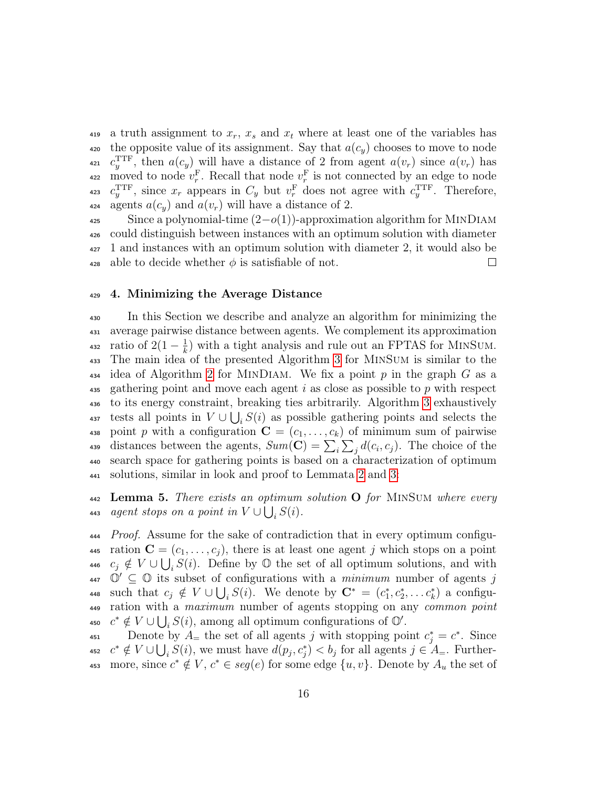419 a truth assignment to  $x_r$ ,  $x_s$  and  $x_t$  where at least one of the variables has 420 the opposite value of its assignment. Say that  $a(c_y)$  chooses to move to node 421  $c_y^{\text{TTF}}$ , then  $a(c_y)$  will have a distance of 2 from agent  $a(v_r)$  since  $a(v_r)$  has <sup>422</sup> moved to node  $v_r^{\text{F}}$ . Recall that node  $v_r^{\text{F}}$  is not connected by an edge to node <sup>423</sup>  $c_y^{\text{TTF}}$ , since  $x_r$  appears in  $C_y$  but  $v_r^{\text{F}}$  does not agree with  $c_y^{\text{TTF}}$ . Therefore, 424 agents  $a(c_y)$  and  $a(v_r)$  will have a distance of 2.

 $\frac{425}{425}$  Since a polynomial-time  $(2-o(1))$ -approximation algorithm for MINDIAM <sup>426</sup> could distinguish between instances with an optimum solution with diameter <sup>427</sup> 1 and instances with an optimum solution with diameter 2, it would also be 428 able to decide whether  $\phi$  is satisfiable of not.  $\Box$ 

#### <span id="page-15-0"></span><sup>429</sup> 4. Minimizing the Average Distance

<sup>430</sup> In this Section we describe and analyze an algorithm for minimizing the <sup>431</sup> average pairwise distance between agents. We complement its approximation ratio of  $2(1-\frac{1}{k})$ 432 ratio of  $2(1-\frac{1}{k})$  with a tight analysis and rule out an FPTAS for MINSUM. <sup>433</sup> The main idea of the presented Algorithm [3](#page-17-0) for MinSum is similar to the  $434$  idea of Algorithm [2](#page-8-1) for MINDIAM. We fix a point p in the graph G as a 435 gathering point and move each agent i as close as possible to p with respect <sup>436</sup> to its energy constraint, breaking ties arbitrarily. Algorithm [3](#page-17-0) exhaustively <sup>437</sup> tests all points in  $V \cup \bigcup_i S(i)$  as possible gathering points and selects the 438 point p with a configuration  $\mathbf{C} = (c_1, \ldots, c_k)$  of minimum sum of pairwise 439 distances between the agents,  $Sum(\mathbf{C}) = \sum_i \sum_j d(c_i, c_j)$ . The choice of the <sup>440</sup> search space for gathering points is based on a characterization of optimum <sup>441</sup> solutions, similar in look and proof to Lemmata [2](#page-6-1) and [3:](#page-7-1)

 $_{442}$  Lemma 5. There exists an optimum solution O for MINSUM where every 443 agent stops on a point in  $V \cup \bigcup_i S(i)$ .

*Proof.* Assume for the sake of contradiction that in every optimum configu-445 ration  $\mathbf{C} = (c_1, \ldots, c_j)$ , there is at least one agent j which stops on a point  $c_j \notin V \cup \bigcup_i S(i)$ . Define by  $\mathbb O$  the set of all optimum solutions, and with  $\mathbb{O}' \subseteq \mathbb{O}$  its subset of configurations with a *minimum* number of agents j 448 such that  $c_j \notin V \cup \bigcup_i S(i)$ . We denote by  $\mathbf{C}^* = (c_1^*, c_2^*, \dots c_k^*)$  a configu- ration with a maximum number of agents stopping on any common point  $c^* \notin V \cup \bigcup_i S(i)$ , among all optimum configurations of  $\mathbb{O}'$ .

 $A_{451}$  Denote by  $A_{\equiv}$  the set of all agents j with stopping point  $c_j^* = c^*$ . Since <sup>452</sup>  $c^* \notin V \cup \bigcup_i S(i)$ , we must have  $d(p_j, c_j^*) < b_j$  for all agents  $j \in A_{=}$ . Further-453 more, since  $c^* \notin V$ ,  $c^* \in seg(e)$  for some edge  $\{u, v\}$ . Denote by  $A_u$  the set of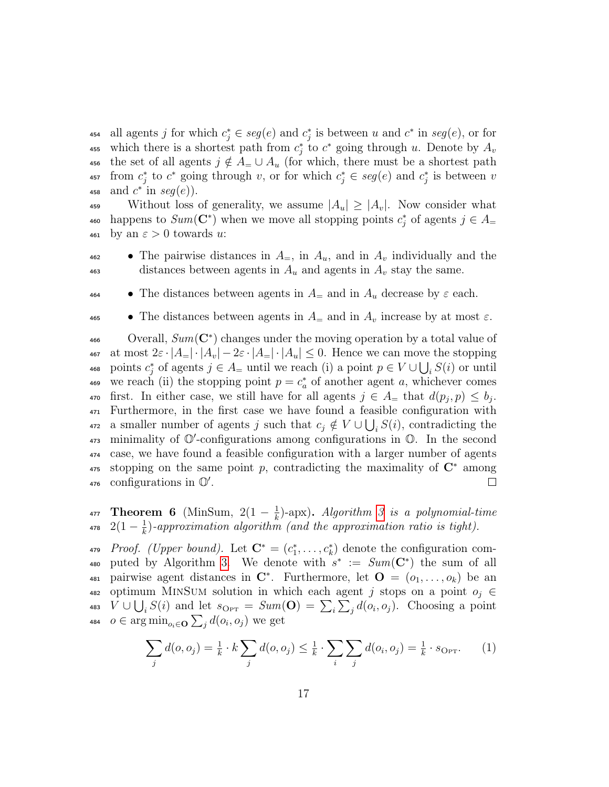454 all agents j for which  $c_j^* \in \text{seg}(e)$  and  $c_j^*$  is between u and  $c^*$  in  $\text{seg}(e)$ , or for 455 which there is a shortest path from  $c_j^*$  to  $c^*$  going through u. Denote by  $A_v$ 456 the set of all agents  $j \notin A = \cup A_u$  (for which, there must be a shortest path 457 from  $c_j^*$  to  $c^*$  going through v, or for which  $c_j^*$  ∈  $seg(e)$  and  $c_j^*$  is between v 458 and  $c^*$  in  $seg(e)$ ).

459 Without loss of generality, we assume  $|A_u| \geq |A_v|$ . Now consider what 460 happens to  $Sum(\mathbf{C}^*)$  when we move all stopping points  $c_j^*$  of agents  $j \in A$ 461 by an  $\varepsilon > 0$  towards u:

- 462 The pairwise distances in  $A_=$ , in  $A_u$ , and in  $A_v$  individually and the 463 distances between agents in  $A_u$  and agents in  $A_v$  stay the same.
- $\bullet$  The distances between agents in  $A_{\pm}$  and in  $A_u$  decrease by  $\varepsilon$  each.
- $\bullet$  The distances between agents in  $A_{\pm}$  and in  $A_{\nu}$  increase by at most  $\varepsilon$ .

 $\alpha_{\text{466}}$  Overall,  $Sum(\mathbf{C}^*)$  changes under the moving operation by a total value of 467 at most  $2\varepsilon \cdot |A|= |\cdot|A_v|-2\varepsilon \cdot |A|= |\cdot|A_u| \leq 0$ . Hence we can move the stopping <sup>468</sup> points  $c_j^*$  of agents  $j \in A$ <sub>=</sub> until we reach (i) a point  $p \in V \cup \bigcup_i S(i)$  or until 469 we reach (ii) the stopping point  $p = c_a^*$  of another agent a, whichever comes 470 first. In either case, we still have for all agents  $j \in A$  that  $d(p_j, p) \leq b_j$ . <sup>471</sup> Furthermore, in the first case we have found a feasible configuration with <sup>472</sup> a smaller number of agents j such that  $c_j \notin V \cup \bigcup_i S(i)$ , contradicting the  $\frac{473}{473}$  minimality of  $\mathbb{O}'$ -configurations among configurations in  $\mathbb{O}$ . In the second <sup>474</sup> case, we have found a feasible configuration with a larger number of agents  $\frac{475}{475}$  stopping on the same point p, contradicting the maximality of  $\mathbb{C}^*$  among 476 configurations in  $\mathbb{O}'$ .  $\Box$ 

**Theorem 6** (MinSum,  $2(1 - \frac{1}{k})$ **477 Theorem 6** (MinSum,  $2(1-\frac{1}{k})$ -apx). Algorithm [3](#page-17-0) is a polynomial-time  $2(1-\frac{1}{k})$ <sup>478</sup>  $2(1-\frac{1}{k})$ -approximation algorithm (and the approximation ratio is tight).

479 Proof. (Upper bound). Let  $\mathbf{C}^* = (c_1^*, \ldots, c_k^*)$  denote the configuration com-480 puted by Algorithm [3.](#page-17-0) We denote with  $s^* := Sum(\mathbf{C}^*)$  the sum of all 481 pairwise agent distances in  $\mathbb{C}^*$ . Furthermore, let  $\mathbb{O} = (o_1, \ldots, o_k)$  be an 482 optimum MINSUM solution in which each agent j stops on a point  $o_j \in$ 483  $V \cup \bigcup_i S(i)$  and let  $s_{\text{Opt}} = Sum(\mathbf{O}) = \sum_i \sum_j d(o_i, o_j)$ . Choosing a point 484  $o \in \arg\min_{o_i \in \mathbf{O}} \sum_j d(o_i, o_j)$  we get

<span id="page-16-0"></span>
$$
\sum_{j} d(o, o_j) = \frac{1}{k} \cdot k \sum_{j} d(o, o_j) \leq \frac{1}{k} \cdot \sum_{i} \sum_{j} d(o_i, o_j) = \frac{1}{k} \cdot s_{\text{Opt}}.
$$
 (1)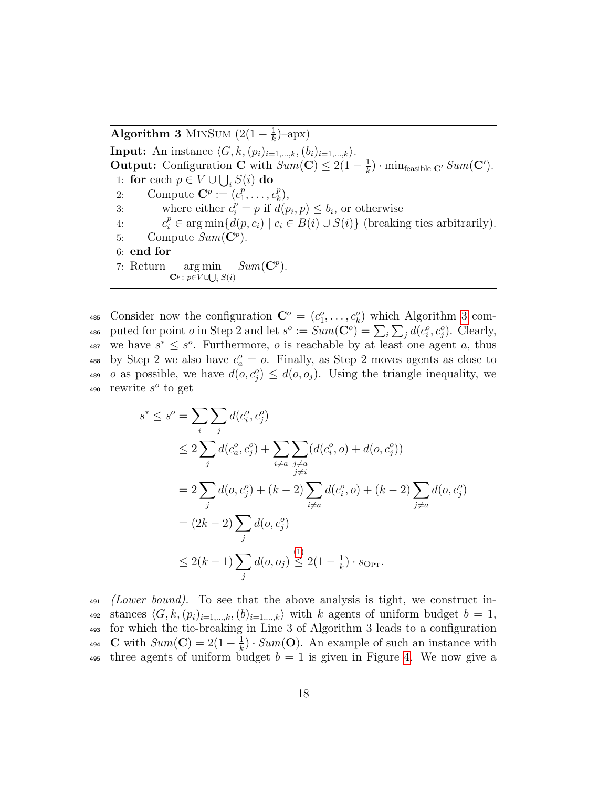Algorithm 3 MINSUM  $(2(1 - \frac{1}{k}))$  $(\frac{1}{k})$ -apx)

<span id="page-17-0"></span>**Input:** An instance  $\langle G, k,(p_i)_{i=1,\ldots,k},(b_i)_{i=1,\ldots,k}\rangle$ . **Output:** Configuration **C** with  $Sum(\mathbf{C}) \leq 2(1 - \frac{1}{k})$  $\frac{1}{k}) \cdot \min_{\text{feasible } \mathbf{C}'} Sum(\mathbf{C}')$ . 1: for each  $p \in V \cup \bigcup_i S(i)$  do 2: Compute  $\mathbf{C}^p := (c_1^p)$  $c_k^p, \ldots, c_k^p$  $_{k}^{p}),$ 3: where either  $c_i^p = p$  if  $d(p_i, p) \leq b_i$ , or otherwise 4:  $c_i^p \in \arg\min\{d(p, c_i) \mid c_i \in B(i) \cup S(i)\}\$  (breaking ties arbitrarily). 5: Compute  $Sum(\mathbf{C}^p)$ . 6: end for 7: Return arg min  $\mathbf{C}^p \colon p{\in} V {\cup}{\bigcup}_i\, S(i)$  $Sum(\mathbf{C}^p)$ .

485 Consider now the configuration  $\mathbf{C}^o = (c_1^o, \ldots, c_k^o)$  which Algorithm [3](#page-17-0) com-486 puted for point *o* in Step 2 and let  $s^o := Sum(\mathbf{C}^o) = \sum_i \sum_j d(c_i^o, c_j^o)$ . Clearly, 487 we have  $s^* \leq s^o$ . Furthermore, *o* is reachable by at least one agent *a*, thus 488 by Step 2 we also have  $c_a^o = o$ . Finally, as Step 2 moves agents as close to 489 *o* as possible, we have  $d(o, c_j^o) \leq d(o, o_j)$ . Using the triangle inequality, we 490 rewrite  $s^o$  to get

$$
s^* \le s^o = \sum_{i} \sum_{j} d(c_i^o, c_j^o)
$$
  
\n
$$
\le 2 \sum_{j} d(c_a^o, c_j^o) + \sum_{i \neq a} \sum_{\substack{j \neq a \\ j \neq i}} (d(c_i^o, o) + d(o, c_j^o))
$$
  
\n
$$
= 2 \sum_{j} d(o, c_j^o) + (k - 2) \sum_{i \neq a} d(c_i^o, o) + (k - 2) \sum_{j \neq a} d(o, c_j^o)
$$
  
\n
$$
= (2k - 2) \sum_{j} d(o, c_j^o)
$$
  
\n
$$
\le 2(k - 1) \sum_{j} d(o, o_j) \le 2(1 - \frac{1}{k}) \cdot s_{\text{Opt}}.
$$

 $\mu_{491}$  (Lower bound). To see that the above analysis is tight, we construct in-492 stances  $\langle G, k,(p_i)_{i=1,\dots,k},(b)_{i=1,\dots,k}\rangle$  with k agents of uniform budget  $b = 1$ , <sup>493</sup> for which the tie-breaking in Line 3 of Algorithm 3 leads to a configuration **C** with  $Sum(\mathbf{C}) = 2(1 - \frac{1}{k})$ 494 C with  $Sum(\mathbf{C}) = 2(1 - \frac{1}{k}) \cdot Sum(\mathbf{O})$ . An example of such an instance with 495 three agents of uniform budget  $b = 1$  is given in Figure [4.](#page-19-1) We now give a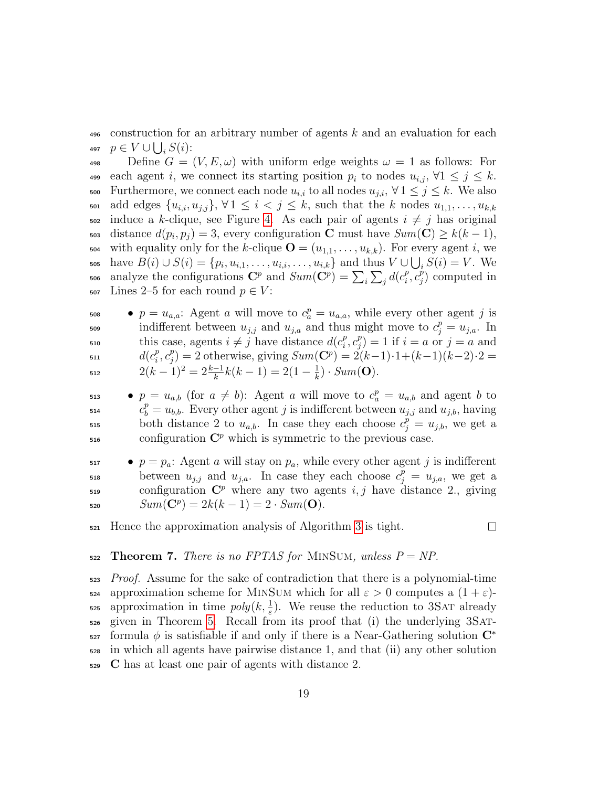<sup>496</sup> construction for an arbitrary number of agents k and an evaluation for each 497  $p \in V \cup \bigcup_i S(i)$ :

498 Define  $G = (V, E, \omega)$  with uniform edge weights  $\omega = 1$  as follows: For each agent i, we connect its starting position  $p_i$  to nodes  $u_{i,j}$ ,  $\forall 1 \leq j \leq k$ . Furthermore, we connect each node  $u_{i,i}$  to all nodes  $u_{j,i}, \forall 1 \leq j \leq k$ . We also son add edges  $\{u_{i,i}, u_{j,i}\}\$ ,  $\forall 1 \leq i \leq j \leq k$ , such that the k nodes  $u_{1,1}, \ldots, u_{k,k}$ 502 induce a k-clique, see Figure [4.](#page-19-1) As each pair of agents  $i \neq j$  has original 503 distance  $d(p_i, p_j) = 3$ , every configuration **C** must have  $Sum(\mathbf{C}) \geq k(k-1)$ , 504 with equality only for the k-clique  $\mathbf{O} = (u_{1,1}, \ldots, u_{k,k})$ . For every agent i, we 505 have  $B(i) \cup S(i) = \{p_i, u_{i,1}, \ldots, u_{i,i}, \ldots, u_{i,k}\}\$ and thus  $V \cup \bigcup_i S(i) = V$ . We analyze the configurations  $\mathbf{C}^p$  and  $Sum(\mathbf{C}^p) = \sum_i \sum_j d(c_i^p)$  $\overline{\rule[-0.07em]{0pt}{2.5pt}^p}_i, \overline{\rule[-0.07em]{0pt}{2.5pt}^p}_j$ 506 analyze the configurations  $\mathbf{C}^p$  and  $Sum(\mathbf{C}^p) = \sum_i \sum_j d(c_i^p, c_j^p)$  computed in 507 Lines 2–5 for each round  $p \in V$ :

 $p = u_{a,a}$ : Agent a will move to  $c_a^p = u_{a,a}$ , while every other agent j is so indifferent between  $u_{j,j}$  and  $u_{j,a}$  and thus might move to  $c_j^p = u_{j,a}$ . In this case, agents  $i \neq j$  have distance  $d(c_i^p)$  $_i^p, c_j^p$ <sup>510</sup> this case, agents  $i \neq j$  have distance  $d(c_i^p, c_j^p) = 1$  if  $i = a$  or  $j = a$  and  $d(c_i^p)$  $_i^p, c_j^p$  $d(c_i^p, c_j^p) = 2$  otherwise, giving  $Sum(\mathbf{C}^p) = 2(k-1) \cdot 1 + (k-1)(k-2) \cdot 2 =$  $2(k-1)^2 = 2\frac{k-1}{k}k(k-1) = 2(1-\frac{1}{k})$ 512  $2(k-1)^2 = 2\frac{k-1}{k}k(k-1) = 2(1-\frac{1}{k}) \cdot Sum(\mathbf{O}).$ 

 $p = u_{a,b}$  (for  $a \neq b$ ): Agent a will move to  $c_a^p = u_{a,b}$  and agent b to <sup>514</sup>  $c_b^p = u_{b,b}$ . Every other agent j is indifferent between  $u_{j,j}$  and  $u_{j,b}$ , having both distance 2 to  $u_{a,b}$ . In case they each choose  $c_j^{\tilde{p}} = u_{j,b}$ , we get a  $\epsilon_{516}$  configuration  $\mathbb{C}^p$  which is symmetric to the previous case.

 $p = p_a$ : Agent a will stay on  $p_a$ , while every other agent j is indifferent between  $u_{j,j}$  and  $u_{j,a}$ . In case they each choose  $c_j^p = u_{j,a}$ , we get a  $\epsilon_{519}$  configuration  $\mathbb{C}^p$  where any two agents i, j have distance 2., giving 520  $Sum(\mathbf{C}^p) = 2k(k-1) = 2 \cdot Sum(\mathbf{O}).$ 

 $\Box$ 

<sup>521</sup> Hence the approximation analysis of Algorithm [3](#page-17-0) is tight.

 $522$  Theorem 7. There is no FPTAS for MINSUM, unless  $P = NP$ .

<sup>523</sup> Proof. Assume for the sake of contradiction that there is a polynomial-time  $\epsilon_{524}$  approximation scheme for MINSUM which for all  $\varepsilon > 0$  computes a  $(1 + \varepsilon)$ - $\epsilon_{\text{25}}$  approximation in time  $poly(k, \frac{1}{\epsilon})$ . We reuse the reduction to 3SAT already <sup>526</sup> given in Theorem [5.](#page-10-0) Recall from its proof that (i) the underlying 3Satformula  $\phi$  is satisfiable if and only if there is a Near-Gathering solution  $\mathbb{C}^*$ 527 <sup>528</sup> in which all agents have pairwise distance 1, and that (ii) any other solution <sup>529</sup> C has at least one pair of agents with distance 2.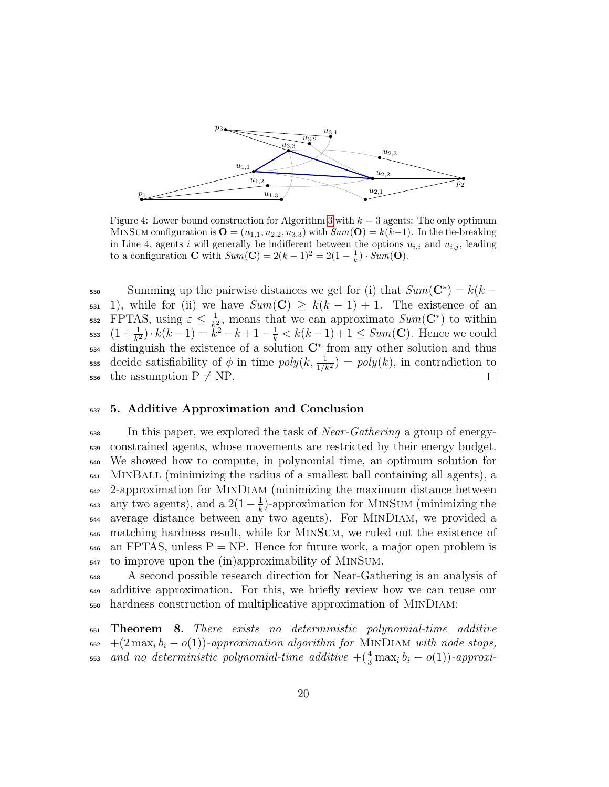<span id="page-19-1"></span>

Figure 4: Lower bound construction for Algorithm [3](#page-17-0) with  $k = 3$  agents: The only optimum MINSUM configuration is  $\mathbf{O} = (u_{1,1}, u_{2,2}, u_{3,3})$  with  $Sum(\mathbf{O}) = k(k-1)$ . In the tie-breaking in Line 4, agents i will generally be indifferent between the options  $u_{i,i}$  and  $u_{i,j}$ , leading to a configuration **C** with  $Sum(\mathbf{C}) = 2(k-1)^2 = 2(1-\frac{1}{k}) \cdot Sum(\mathbf{O}).$ 

Summing up the pairwise distances we get for (i) that  $Sum(\mathbf{C}^*) = k(k -$ 531 1), while for (ii) we have  $Sum(\mathbf{C}) \geq k(k-1) + 1$ . The existence of an 532 FPTAS, using  $\varepsilon \leq \frac{1}{k^2}$ , means that we can approximate  $Sum(\mathbf{C}^*)$  to within FPTAS, using  $\varepsilon \leq \frac{1}{k^2}$ 533  $(1+\frac{1}{k^2}) \cdot k(k-1) = \tilde{k}^2 - k + 1 - \frac{1}{k} < k(k-1) + 1 \leq Sum(\mathbf{C})$ . Hence we could  $534$  distinguish the existence of a solution  $\mathbb{C}^*$  from any other solution and thus 535 decide satisfiability of  $\phi$  in time  $poly(k, \frac{1}{1/k^2}) = poly(k)$ , in contradiction to 536 the assumption  $P \neq NP$ .  $\Box$ 

#### <span id="page-19-0"></span><sup>537</sup> 5. Additive Approximation and Conclusion

 $\frac{1}{538}$  In this paper, we explored the task of *Near-Gathering* a group of energy- constrained agents, whose movements are restricted by their energy budget. We showed how to compute, in polynomial time, an optimum solution for MinBall (minimizing the radius of a smallest ball containing all agents), a 2-approximation for MinDiam (minimizing the maximum distance between any two agents), and a  $2(1-\frac{1}{k})$ <sup>543</sup> any two agents), and a 2(1 –  $\frac{1}{k}$ )-approximation for MINSUM (minimizing the average distance between any two agents). For MinDiam, we provided a matching hardness result, while for MinSum, we ruled out the existence of  $_{546}$  an FPTAS, unless P = NP. Hence for future work, a major open problem is to improve upon the (in)approximability of MinSum.

<sup>548</sup> A second possible research direction for Near-Gathering is an analysis of <sup>549</sup> additive approximation. For this, we briefly review how we can reuse our <sup>550</sup> hardness construction of multiplicative approximation of MinDiam:

<span id="page-19-2"></span><sup>551</sup> Theorem 8. There exists no deterministic polynomial-time additive  $_{552}$  +(2 max<sub>i</sub> b<sub>i</sub> – o(1))-approximation algorithm for MINDIAM with node stops,  $\tau_{\rm s}$  and no deterministic polynomial-time additive  $+(\frac{4}{3}\max_i b_i - o(1))$ -approxi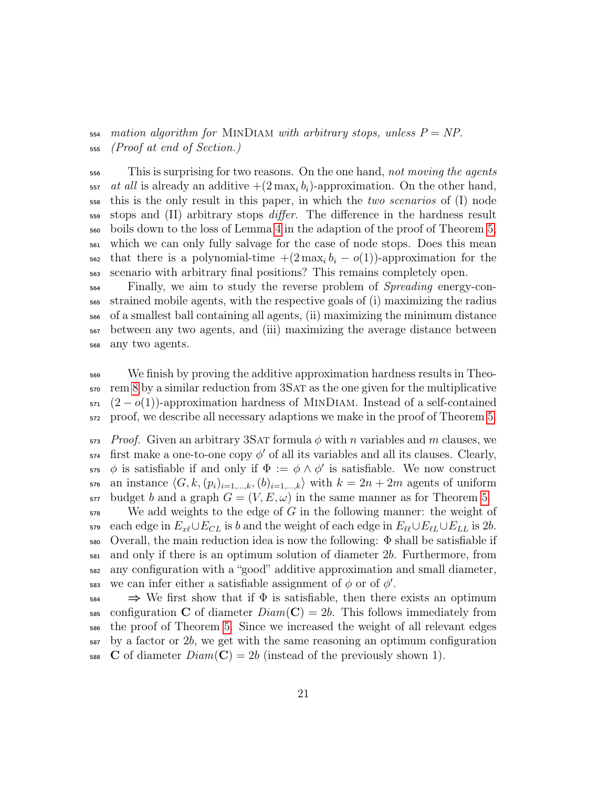$_{554}$  mation algorithm for MINDIAM with arbitrary stops, unless  $P = NP$ . (Proof at end of Section.)

<sup>556</sup> This is surprising for two reasons. On the one hand, not moving the agents  $\frac{1}{557}$  at all is already an additive  $+(2 \max_i b_i)$ -approximation. On the other hand, this is the only result in this paper, in which the *two scenarios* of (I) node <sub>559</sub> stops and (II) arbitrary stops *differ*. The difference in the hardness result boils down to the loss of Lemma [4](#page-12-0) in the adaption of the proof of Theorem [5,](#page-10-0) which we can only fully salvage for the case of node stops. Does this mean  $\frac{1}{562}$  that there is a polynomial-time  $+(2 \max_i b_i - o(1))$ -approximation for the scenario with arbitrary final positions? This remains completely open.

 Finally, we aim to study the reverse problem of Spreading energy-con- strained mobile agents, with the respective goals of (i) maximizing the radius of a smallest ball containing all agents, (ii) maximizing the minimum distance between any two agents, and (iii) maximizing the average distance between any two agents.

 We finish by proving the additive approximation hardness results in Theo- rem [8](#page-19-2) by a similar reduction from 3Sat as the one given for the multiplicative  $571 \left(2 - o(1)\right)$ -approximation hardness of MINDIAM. Instead of a self-contained proof, we describe all necessary adaptions we make in the proof of Theorem [5.](#page-10-0)

 Proof. Given an arbitrary 3SAT formula  $\phi$  with n variables and m clauses, we first make a one-to-one copy  $\phi'$  of all its variables and all its clauses. Clearly,  $\phi$  is satisfiable if and only if  $\Phi := \phi \wedge \phi'$  is satisfiable. We now construct 576 an instance  $\langle G, k,(p_i)_{i=1,\ldots,k},(b)_{i=1,\ldots,k}\rangle$  with  $k = 2n + 2m$  agents of uniform  $\sigma$ <sub>577</sub> budget b and a graph  $G = (V, E, \omega)$  in the same manner as for Theorem [5.](#page-10-0)

 We add weights to the edge of G in the following manner: the weight of 579 each edge in  $E_{x\ell}\cup E_{CL}$  is b and the weight of each edge in  $E_{\ell\ell}\cup E_{\ell L}\cup E_{LL}$  is 2b. Overall, the main reduction idea is now the following:  $\Phi$  shall be satisfiable if and only if there is an optimum solution of diameter 2b. Furthermore, from any configuration with a "good" additive approximation and small diameter, 583 we can infer either a satisfiable assignment of  $\phi$  or of  $\phi'$ .

 $_{584} \Rightarrow$  We first show that if  $\Phi$  is satisfiable, then there exists an optimum 585 configuration C of diameter  $Diam(\mathbf{C}) = 2b$ . This follows immediately from the proof of Theorem [5.](#page-10-0) Since we increased the weight of all relevant edges by a factor or 2b, we get with the same reasoning an optimum configuration 588 C of diameter  $Diam(C) = 2b$  (instead of the previously shown 1).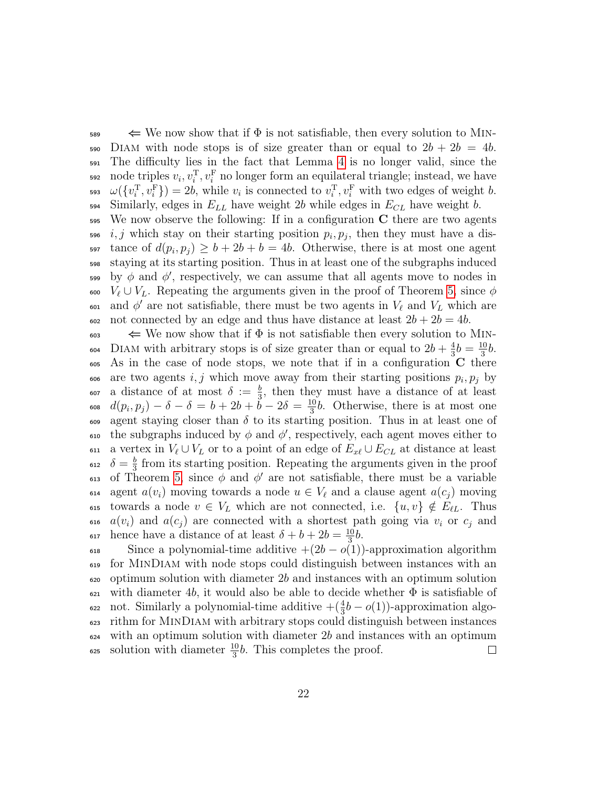$\leq$  We now show that if  $\Phi$  is not satisfiable, then every solution to MIN-590 DIAM with node stops is of size greater than or equal to  $2b + 2b = 4b$ . <sup>591</sup> The difficulty lies in the fact that Lemma [4](#page-12-0) is no longer valid, since the 592 node triples  $v_i, v_i^{\mathrm{T}}, v_i^{\mathrm{F}}$  no longer form an equilateral triangle; instead, we have <sup>593</sup>  $\omega(\{v_i^{\mathrm{T}}, v_i^{\mathrm{F}}\}) = 2b$ , while  $v_i$  is connected to  $v_i^{\mathrm{T}}, v_i^{\mathrm{F}}$  with two edges of weight b.  $594$  Similarly, edges in  $E_{LL}$  have weight 2b while edges in  $E_{CL}$  have weight b.

 $595$  We now observe the following: If in a configuration C there are two agents  $i, j$  which stay on their starting position  $p_i, p_j$ , then they must have a dis-597 tance of  $d(p_i, p_j) \ge b + 2b + b = 4b$ . Otherwise, there is at most one agent <sup>598</sup> staying at its starting position. Thus in at least one of the subgraphs induced  $599$  by φ and φ', respectively, we can assume that all agents move to nodes in 600  $V_{\ell} \cup V_L$ . Repeating the arguments given in the proof of Theorem [5,](#page-10-0) since  $\phi$ <sup>601</sup> and φ' are not satisfiable, there must be two agents in  $V_\ell$  and  $V_L$  which are  $\frac{602}{100}$  not connected by an edge and thus have distance at least  $2b + 2b = 4b$ .

 $\iff$  We now show that if  $\Phi$  is not satisfiable then every solution to MIN-DIAM with arbitrary stops is of size greater than or equal to  $2b + \frac{4}{3}$  $\frac{4}{3}b = \frac{10}{3}$ 604 DIAM with arbitrary stops is of size greater than or equal to  $2b + \frac{4}{3}b = \frac{10}{3}b$ .  $\epsilon_{605}$  As in the case of node stops, we note that if in a configuration C there  $\alpha$  are two agents i, j which move away from their starting positions  $p_i, p_j$  by <sup>607</sup> a distance of at most  $\delta := \frac{b}{3}$ , then they must have a distance of at least  $d(p_i, p_j) - \delta - \delta = b + 2b + \check{b} - 2\delta = \frac{10}{3}$ 608  $d(p_i, p_j) - \delta - \delta = b + 2b + b - 2\delta = \frac{10}{3}b$ . Otherwise, there is at most one 609 agent staying closer than  $\delta$  to its starting position. Thus in at least one of <sup>610</sup> the subgraphs induced by φ and φ', respectively, each agent moves either to 611 a vertex in  $V_{\ell} \cup V_L$  or to a point of an edge of  $E_{x\ell} \cup E_{CL}$  at distance at least  $\delta = \frac{b}{3}$ <sup>612</sup>  $\delta = \frac{b}{3}$  from its starting position. Repeating the arguments given in the proof 613 of Theorem [5,](#page-10-0) since  $\phi$  and  $\phi'$  are not satisfiable, there must be a variable 614 agent  $a(v_i)$  moving towards a node  $u \in V_\ell$  and a clause agent  $a(c_i)$  moving 615 towards a node  $v \in V_L$  which are not connected, i.e.  $\{u, v\} \notin E_{\ell L}$ . Thus 616  $a(v_i)$  and  $a(c_j)$  are connected with a shortest path going via  $v_i$  or  $c_j$  and hence have a distance of at least  $\delta + b + 2b = \frac{10}{3}$ 617 hence have a distance of at least  $\delta + b + 2b = \frac{10}{3}b$ .

618 Since a polynomial-time additive  $+(2b-o(1))$ -approximation algorithm <sup>619</sup> for MinDiam with node stops could distinguish between instances with an <sup>620</sup> optimum solution with diameter 2b and instances with an optimum solution 621 with diameter 4b, it would also be able to decide whether  $\Phi$  is satisfiable of <sup>622</sup> not. Similarly a polynomial-time additive  $+(\frac{4}{3}b - o(1))$ -approximation algo-<sup>623</sup> rithm for MinDiam with arbitrary stops could distinguish between instances  $624$  with an optimum solution with diameter 2b and instances with an optimum  $\epsilon_{25}$  solution with diameter  $\frac{10}{3}b$ . This completes the proof.  $\Box$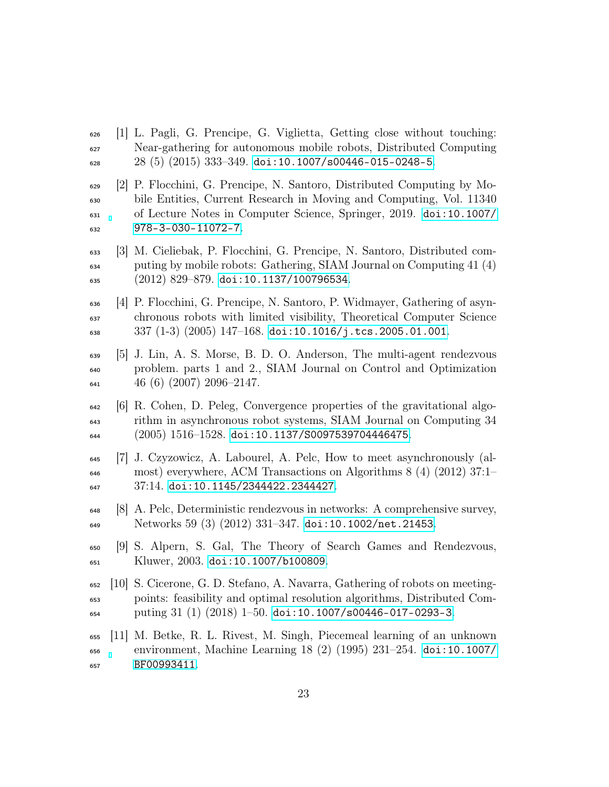- <span id="page-22-0"></span> $\epsilon_{626}$  [1] L. Pagli, G. Prencipe, G. Viglietta, Getting close without touching: Near-gathering for autonomous mobile robots, Distributed Computing 28 (5) (2015) 333-349. [doi:10.1007/s00446-015-0248-5](https://doi.org/10.1007/s00446-015-0248-5).
- <span id="page-22-1"></span> [2] P. Flocchini, G. Prencipe, N. Santoro, Distributed Computing by Mo- bile Entities, Current Research in Moving and Computing, Vol. 11340 of Lecture Notes in Computer Science, Springer, 2019. [doi:10.1007/](https://doi.org/10.1007/978-3-030-11072-7) [978-3-030-11072-7](https://doi.org/10.1007/978-3-030-11072-7).
- <span id="page-22-2"></span> [3] M. Cieliebak, P. Flocchini, G. Prencipe, N. Santoro, Distributed com- puting by mobile robots: Gathering, SIAM Journal on Computing 41 (4) (2012) 829-879. [doi:10.1137/100796534](https://doi.org/10.1137/100796534).
- <span id="page-22-3"></span> [4] P. Flocchini, G. Prencipe, N. Santoro, P. Widmayer, Gathering of asyn- chronous robots with limited visibility, Theoretical Computer Science 337 (1-3) (2005) 147–168. [doi:10.1016/j.tcs.2005.01.001](https://doi.org/10.1016/j.tcs.2005.01.001).
- <span id="page-22-4"></span> [5] J. Lin, A. S. Morse, B. D. O. Anderson, The multi-agent rendezvous problem. parts 1 and 2., SIAM Journal on Control and Optimization  $641 \qquad 46 \ (6) \ (2007) \ 2096 - 2147.$
- <span id="page-22-5"></span> $\frac{642}{6}$  [6] R. Cohen, D. Peleg, Convergence properties of the gravitational algo- rithm in asynchronous robot systems, SIAM Journal on Computing 34  $(2005)$  1516–1528. [doi:10.1137/S0097539704446475](https://doi.org/10.1137/S0097539704446475).
- <span id="page-22-6"></span> [7] J. Czyzowicz, A. Labourel, A. Pelc, How to meet asynchronously (al- most) everywhere, ACM Transactions on Algorithms 8 (4) (2012) 37:1– 37:14. [doi:10.1145/2344422.2344427](https://doi.org/10.1145/2344422.2344427).
- <span id="page-22-7"></span> [8] A. Pelc, Deterministic rendezvous in networks: A comprehensive survey, Networks 59 (3) (2012) 331–347. [doi:10.1002/net.21453](https://doi.org/10.1002/net.21453).
- <span id="page-22-8"></span> [9] S. Alpern, S. Gal, The Theory of Search Games and Rendezvous, Kluwer, 2003. [doi:10.1007/b100809](https://doi.org/10.1007/b100809).
- <span id="page-22-9"></span> [10] S. Cicerone, G. D. Stefano, A. Navarra, Gathering of robots on meeting- points: feasibility and optimal resolution algorithms, Distributed Com- $_{654}$  puting 31 (1) (2018) 1–50. [doi:10.1007/s00446-017-0293-3](https://doi.org/10.1007/s00446-017-0293-3).
- <span id="page-22-10"></span> [11] M. Betke, R. L. Rivest, M. Singh, Piecemeal learning of an unknown environment, Machine Learning 18 (2) (1995) 231–254. [doi:10.1007/](https://doi.org/10.1007/BF00993411) [BF00993411](https://doi.org/10.1007/BF00993411).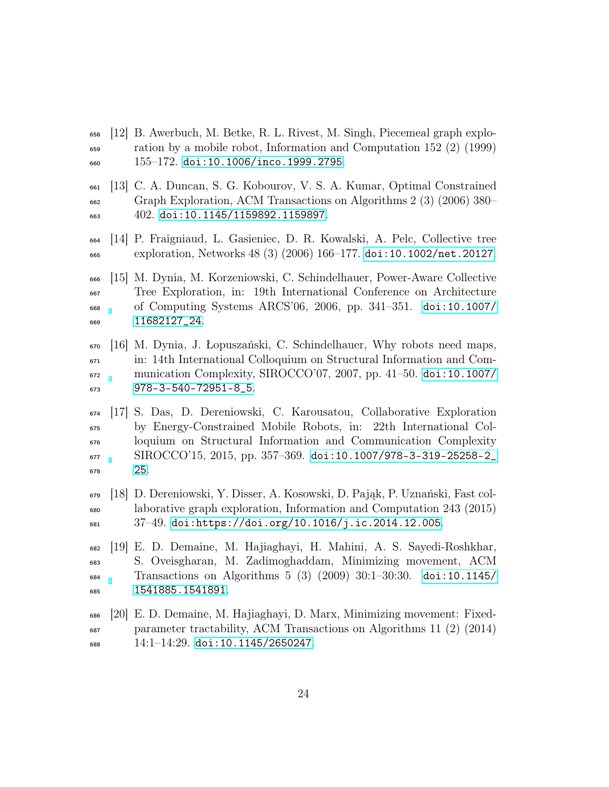- <span id="page-23-0"></span> [12] B. Awerbuch, M. Betke, R. L. Rivest, M. Singh, Piecemeal graph explo- ration by a mobile robot, Information and Computation 152 (2) (1999)  $_{660}$  155–172. [doi:10.1006/inco.1999.2795](https://doi.org/10.1006/inco.1999.2795).
- <span id="page-23-1"></span> [13] C. A. Duncan, S. G. Kobourov, V. S. A. Kumar, Optimal Constrained Graph Exploration, ACM Transactions on Algorithms 2 (3) (2006) 380– 402. [doi:10.1145/1159892.1159897](https://doi.org/10.1145/1159892.1159897).
- <span id="page-23-2"></span> [14] P. Fraigniaud, L. Gasieniec, D. R. Kowalski, A. Pelc, Collective tree exploration, Networks 48 (3) (2006) 166–177. [doi:10.1002/net.20127](https://doi.org/10.1002/net.20127).
- <span id="page-23-3"></span> [15] M. Dynia, M. Korzeniowski, C. Schindelhauer, Power-Aware Collective Tree Exploration, in: 19th International Conference on Architecture of Computing Systems ARCS'06, 2006, pp. 341–351. [doi:10.1007/](https://doi.org/10.1007/11682127_24) [11682127\\_24](https://doi.org/10.1007/11682127_24).
- <span id="page-23-4"></span> [16] M. Dynia, J. Łopuszański, C. Schindelhauer, Why robots need maps, in: 14th International Colloquium on Structural Information and Com- munication Complexity, SIROCCO'07, 2007, pp. 41–50. [doi:10.1007/](https://doi.org/10.1007/978-3-540-72951-8_5) [978-3-540-72951-8\\_5](https://doi.org/10.1007/978-3-540-72951-8_5).
- <span id="page-23-5"></span> [17] S. Das, D. Dereniowski, C. Karousatou, Collaborative Exploration by Energy-Constrained Mobile Robots, in: 22th International Col- loquium on Structural Information and Communication Complexity SIROCCO'15, 2015, pp. 357–369. [doi:10.1007/978-3-319-25258-2\\_](https://doi.org/10.1007/978-3-319-25258-2_25) [25](https://doi.org/10.1007/978-3-319-25258-2_25).
- <span id="page-23-6"></span> [18] D. Dereniowski, Y. Disser, A. Kosowski, D. Pająk, P. Uznański, Fast col- laborative graph exploration, Information and Computation 243 (2015) 37–49. [doi:https://doi.org/10.1016/j.ic.2014.12.005](https://doi.org/https://doi.org/10.1016/j.ic.2014.12.005).
- <span id="page-23-7"></span> [19] E. D. Demaine, M. Hajiaghayi, H. Mahini, A. S. Sayedi-Roshkhar, S. Oveisgharan, M. Zadimoghaddam, Minimizing movement, ACM Transactions on Algorithms 5 (3) (2009) 30:1–30:30. [doi:10.1145/](https://doi.org/10.1145/1541885.1541891) [1541885.1541891](https://doi.org/10.1145/1541885.1541891).
- <span id="page-23-8"></span> [20] E. D. Demaine, M. Hajiaghayi, D. Marx, Minimizing movement: Fixed- parameter tractability, ACM Transactions on Algorithms 11 (2) (2014) 14:1–14:29. [doi:10.1145/2650247](https://doi.org/10.1145/2650247).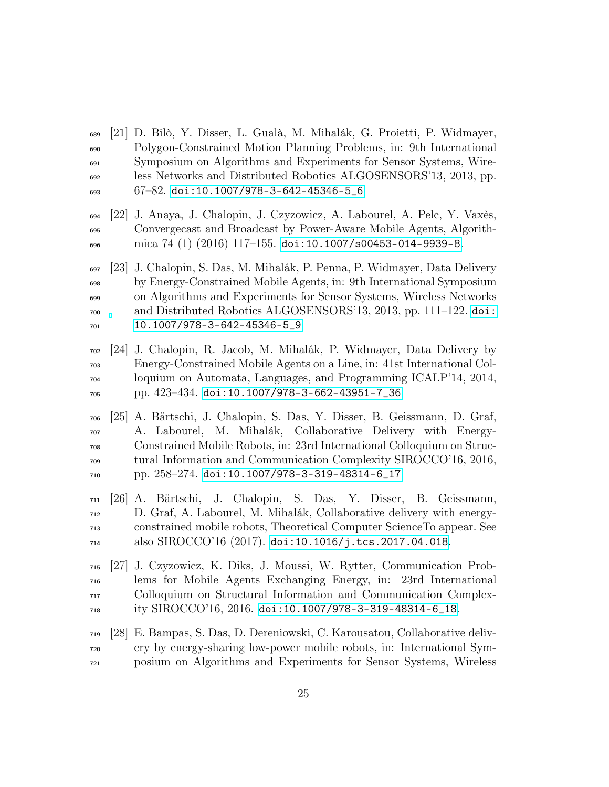- <span id="page-24-0"></span> [21] D. Bilò, Y. Disser, L. Gualà, M. Mihalák, G. Proietti, P. Widmayer, Polygon-Constrained Motion Planning Problems, in: 9th International Symposium on Algorithms and Experiments for Sensor Systems, Wire- less Networks and Distributed Robotics ALGOSENSORS'13, 2013, pp.  $67-82$ . [doi:10.1007/978-3-642-45346-5\\_6](https://doi.org/10.1007/978-3-642-45346-5_6).
- <span id="page-24-1"></span> [22] J. Anaya, J. Chalopin, J. Czyzowicz, A. Labourel, A. Pelc, Y. Vaxès, Convergecast and Broadcast by Power-Aware Mobile Agents, Algorith- $\frac{696}{2016}$  mica  $74$  (1) (2016) 117-155. [doi:10.1007/s00453-014-9939-8](https://doi.org/10.1007/s00453-014-9939-8).
- <span id="page-24-2"></span> [23] J. Chalopin, S. Das, M. Mihalák, P. Penna, P. Widmayer, Data Delivery by Energy-Constrained Mobile Agents, in: 9th International Symposium on Algorithms and Experiments for Sensor Systems, Wireless Networks and Distributed Robotics ALGOSENSORS'13, 2013, pp. 111–122. [doi:](https://doi.org/10.1007/978-3-642-45346-5_9) [10.1007/978-3-642-45346-5\\_9](https://doi.org/10.1007/978-3-642-45346-5_9).
- <span id="page-24-3"></span> [24] J. Chalopin, R. Jacob, M. Mihalák, P. Widmayer, Data Delivery by Energy-Constrained Mobile Agents on a Line, in: 41st International Col- loquium on Automata, Languages, and Programming ICALP'14, 2014, pp. 423–434. [doi:10.1007/978-3-662-43951-7\\_36](https://doi.org/10.1007/978-3-662-43951-7_36).
- <span id="page-24-4"></span> [25] A. Bärtschi, J. Chalopin, S. Das, Y. Disser, B. Geissmann, D. Graf, A. Labourel, M. Mihalák, Collaborative Delivery with Energy- Constrained Mobile Robots, in: 23rd International Colloquium on Struc- tural Information and Communication Complexity SIROCCO'16, 2016, pp. 258–274. [doi:10.1007/978-3-319-48314-6\\_17](https://doi.org/10.1007/978-3-319-48314-6_17).
- <span id="page-24-5"></span> [26] A. Bärtschi, J. Chalopin, S. Das, Y. Disser, B. Geissmann, D. Graf, A. Labourel, M. Mihalák, Collaborative delivery with energy- constrained mobile robots, Theoretical Computer ScienceTo appear. See also SIROCCO'16 (2017). [doi:10.1016/j.tcs.2017.04.018](https://doi.org/10.1016/j.tcs.2017.04.018).
- <span id="page-24-6"></span> [27] J. Czyzowicz, K. Diks, J. Moussi, W. Rytter, Communication Prob- lems for Mobile Agents Exchanging Energy, in: 23rd International Colloquium on Structural Information and Communication Complex-ity SIROCCO'16, 2016. [doi:10.1007/978-3-319-48314-6\\_18](https://doi.org/10.1007/978-3-319-48314-6_18).
- <span id="page-24-7"></span> [28] E. Bampas, S. Das, D. Dereniowski, C. Karousatou, Collaborative deliv- ery by energy-sharing low-power mobile robots, in: International Sym-posium on Algorithms and Experiments for Sensor Systems, Wireless